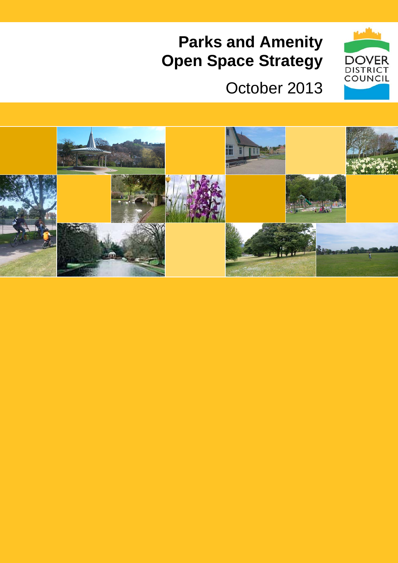

October 2013

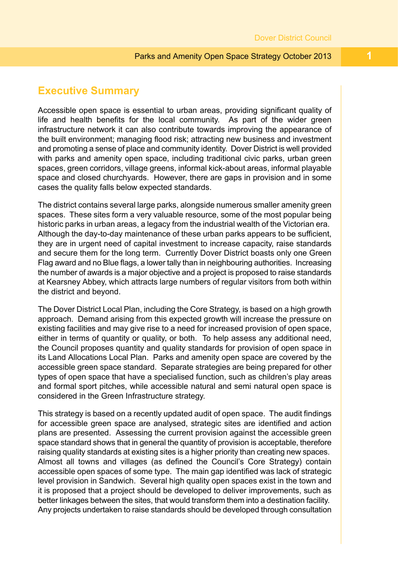## **Executive Summary**

Accessible open space is essential to urban areas, providing significant quality of life and health benefits for the local community. As part of the wider green infrastructure network it can also contribute towards improving the appearance of the built environment; managing flood risk; attracting new business and investment and promoting a sense of place and community identity. Dover District is well provided with parks and amenity open space, including traditional civic parks, urban green spaces, green corridors, village greens, informal kick-about areas, informal playable space and closed churchyards. However, there are gaps in provision and in some cases the quality falls below expected standards.

The district contains several large parks, alongside numerous smaller amenity green spaces. These sites form a very valuable resource, some of the most popular being historic parks in urban areas, a legacy from the industrial wealth of the Victorian era. Although the day-to-day maintenance of these urban parks appears to be sufficient, they are in urgent need of capital investment to increase capacity, raise standards and secure them for the long term. Currently Dover District boasts only one Green Flag award and no Blue flags, a lower tally than in neighbouring authorities. Increasing the number of awards is a major objective and a project is proposed to raise standards at Kearsney Abbey, which attracts large numbers of regular visitors from both within the district and beyond.

The Dover District Local Plan, including the Core Strategy, is based on a high growth approach. Demand arising from this expected growth will increase the pressure on existing facilities and may give rise to a need for increased provision of open space, either in terms of quantity or quality, or both. To help assess any additional need, the Council proposes quantity and quality standards for provision of open space in its Land Allocations Local Plan. Parks and amenity open space are covered by the accessible green space standard. Separate strategies are being prepared for other types of open space that have a specialised function, such as children's play areas and formal sport pitches, while accessible natural and semi natural open space is considered in the Green Infrastructure strategy.

This strategy is based on a recently updated audit of open space. The audit findings for accessible green space are analysed, strategic sites are identified and action plans are presented. Assessing the current provision against the accessible green space standard shows that in general the quantity of provision is acceptable, therefore raising quality standards at existing sites is a higher priority than creating new spaces. Almost all towns and villages (as defined the Council's Core Strategy) contain accessible open spaces of some type. The main gap identified was lack of strategic level provision in Sandwich. Several high quality open spaces exist in the town and it is proposed that a project should be developed to deliver improvements, such as better linkages between the sites, that would transform them into a destination facility. Any projects undertaken to raise standards should be developed through consultation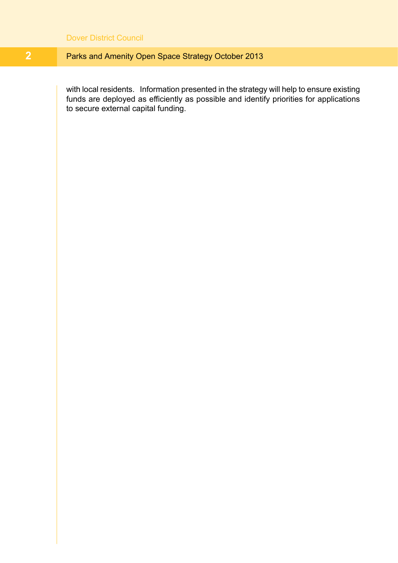# **2** Parks and Amenity Open Space Strategy October 2013

with local residents. Information presented in the strategy will help to ensure existing funds are deployed as efficiently as possible and identify priorities for applications to secure external capital funding.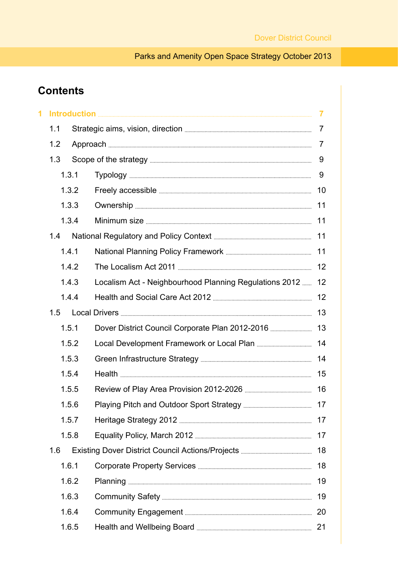# **Contents**

| 1 |     |       |                                                        | $\overline{7}$ |
|---|-----|-------|--------------------------------------------------------|----------------|
|   | 1.1 |       |                                                        | 7              |
|   | 1.2 |       |                                                        | 7              |
|   | 1.3 |       |                                                        | 9              |
|   |     | 1.3.1 |                                                        | 9              |
|   |     | 1.3.2 |                                                        |                |
|   |     | 1.3.3 |                                                        | 11             |
|   |     | 1.3.4 |                                                        | 11             |
|   | 1.4 |       |                                                        |                |
|   |     | 1.4.1 |                                                        |                |
|   |     | 1.4.2 |                                                        | 12             |
|   |     | 1.4.3 | Localism Act - Neighbourhood Planning Regulations 2012 | 12             |
|   |     | 1.4.4 |                                                        | 12             |
|   | 1.5 |       |                                                        | 13             |
|   |     | 1.5.1 | Dover District Council Corporate Plan 2012-2016        | 13             |
|   |     | 1.5.2 |                                                        | 14             |
|   |     | 1.5.3 |                                                        | 14             |
|   |     | 1.5.4 |                                                        | 15             |
|   |     | 1.5.5 |                                                        | 16             |
|   |     | 1.5.6 |                                                        | 17             |
|   |     | 1.5.7 |                                                        | 17             |
|   |     | 1.5.8 |                                                        | 17             |
|   | 1.6 |       |                                                        | 18             |
|   |     | 1.6.1 |                                                        | 18             |
|   |     | 1.6.2 |                                                        | 19             |
|   |     | 1.6.3 |                                                        | 19             |
|   |     | 1.6.4 |                                                        | 20             |
|   |     | 1.6.5 |                                                        | 21             |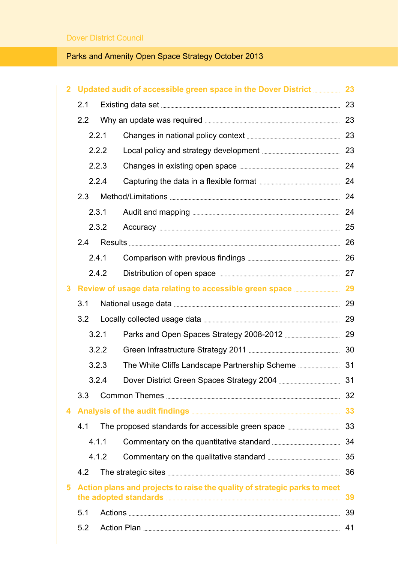| $\overline{2}$ |     |       | Updated audit of accessible green space in the Dover District             | 23 |
|----------------|-----|-------|---------------------------------------------------------------------------|----|
|                | 2.1 |       |                                                                           |    |
|                | 2.2 |       |                                                                           |    |
|                |     | 2.2.1 |                                                                           |    |
|                |     | 2.2.2 |                                                                           |    |
|                |     | 2.2.3 |                                                                           |    |
|                |     | 2.2.4 |                                                                           |    |
|                | 2.3 |       |                                                                           |    |
|                |     | 2.3.1 |                                                                           |    |
|                |     | 2.3.2 |                                                                           |    |
|                | 2.4 |       |                                                                           |    |
|                |     | 2.4.1 |                                                                           |    |
|                |     | 2.4.2 |                                                                           |    |
| 3              |     |       |                                                                           |    |
|                | 3.1 |       |                                                                           |    |
|                | 3.2 |       |                                                                           |    |
|                |     | 3.2.1 |                                                                           |    |
|                |     | 3.2.2 |                                                                           |    |
|                |     | 3.2.3 |                                                                           |    |
|                |     | 3.2.4 |                                                                           | 31 |
|                | 3.3 |       |                                                                           | 32 |
| 4              |     |       |                                                                           | 33 |
|                | 4.1 |       |                                                                           |    |
|                |     | 4.1.1 |                                                                           |    |
|                |     | 4.1.2 |                                                                           |    |
|                | 4.2 |       |                                                                           | 36 |
| 5              |     |       | Action plans and projects to raise the quality of strategic parks to meet | 39 |
|                | 5.1 |       |                                                                           | 39 |
|                | 5.2 |       |                                                                           | 41 |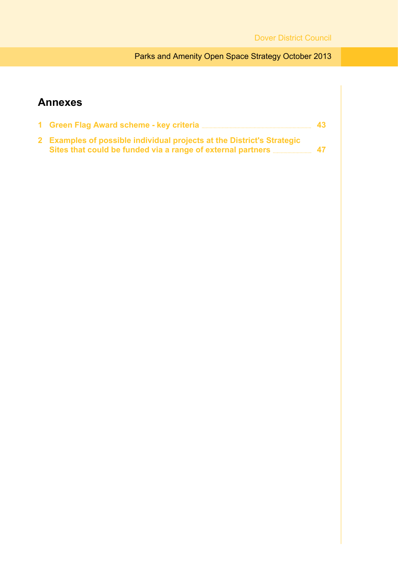| <b>Annexes</b>                                                         |    |
|------------------------------------------------------------------------|----|
|                                                                        | 43 |
| 2 Examples of possible individual projects at the District's Strategic |    |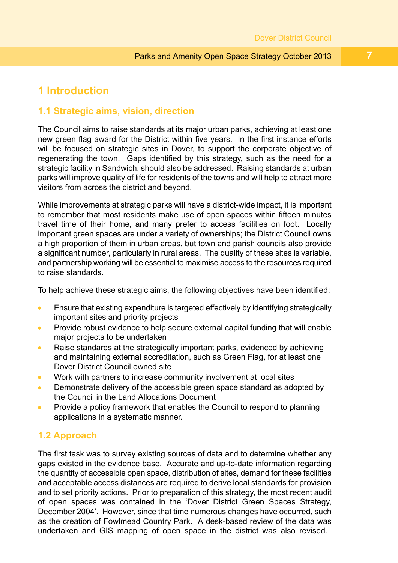## <span id="page-8-1"></span><span id="page-8-0"></span>**1 Introduction**

## **1.1 Strategic aims, vision, direction**

The Council aims to raise standards at its major urban parks, achieving at least one new green flag award for the District within five years. In the first instance efforts will be focused on strategic sites in Dover, to support the corporate objective of regenerating the town. Gaps identified by this strategy, such as the need for a strategic facility in Sandwich, should also be addressed. Raising standards at urban parks will improve quality of life for residents of the towns and will help to attract more visitors from across the district and beyond.

While improvements at strategic parks will have a district-wide impact, it is important to remember that most residents make use of open spaces within fifteen minutes travel time of their home, and many prefer to access facilities on foot. Locally important green spaces are under a variety of ownerships; the District Council owns a high proportion of them in urban areas, but town and parish councils also provide a significant number, particularly in rural areas. The quality of these sites is variable, and partnership working will be essential to maximise access to the resources required to raise standards.

To help achieve these strategic aims, the following objectives have been identified:

- Ensure that existing expenditure is targeted effectively by identifying strategically  $\bullet$ important sites and priority projects
- Provide robust evidence to help secure external capital funding that will enable  $\bullet$ major projects to be undertaken
- Raise standards at the strategically important parks, evidenced by achieving  $\bullet$ and maintaining external accreditation, such as Green Flag, for at least one Dover District Council owned site
- Work with partners to increase community involvement at local sites  $\bullet$
- <span id="page-8-2"></span>Demonstrate delivery of the accessible green space standard as adopted by  $\bullet$ the Council in the Land Allocations Document
- Provide a policy framework that enables the Council to respond to planning  $\bullet$ applications in a systematic manner.

## **1.2 Approach**

The first task was to survey existing sources of data and to determine whether any gaps existed in the evidence base. Accurate and up-to-date information regarding the quantity of accessible open space, distribution of sites, demand for these facilities and acceptable access distances are required to derive local standards for provision and to set priority actions. Prior to preparation of this strategy, the most recent audit of open spaces was contained in the 'Dover District Green Spaces Strategy, December 2004'. However, since that time numerous changes have occurred, such as the creation of Fowlmead Country Park. A desk-based review of the data was undertaken and GIS mapping of open space in the district was also revised.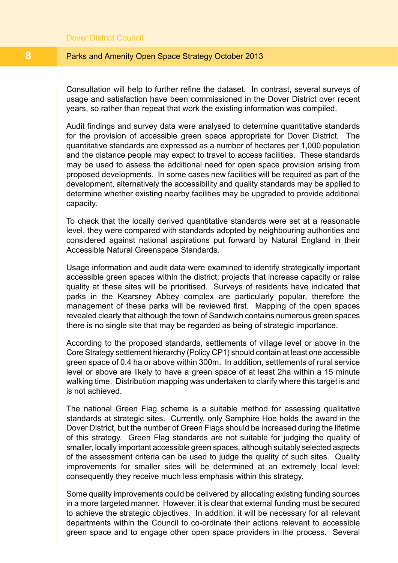Consultation will help to further refine the dataset. In contrast, several surveys of usage and satisfaction have been commissioned in the Dover District over recent years, so rather than repeat that work the existing information was compiled.

Audit findings and survey data were analysed to determine quantitative standards for the provision of accessible green space appropriate for Dover District. The quantitative standards are expressed as a number of hectares per 1,000 population and the distance people may expect to travel to access facilities. These standards may be used to assess the additional need for open space provision arising from proposed developments. In some cases new facilities will be required as part of the development, alternatively the accessibility and quality standards may be applied to determine whether existing nearby facilities may be upgraded to provide additional capacity.

To check that the locally derived quantitative standards were set at a reasonable level, they were compared with standards adopted by neighbouring authorities and considered against national aspirations put forward by Natural England in their Accessible Natural Greenspace Standards.

Usage information and audit data were examined to identify strategically important accessible green spaces within the district; projects that increase capacity or raise quality at these sites will be prioritised. Surveys of residents have indicated that parks in the Kearsney Abbey complex are particularly popular, therefore the management of these parks will be reviewed first. Mapping of the open spaces revealed clearly that although the town of Sandwich contains numerous green spaces there is no single site that may be regarded as being of strategic importance.

According to the proposed standards, settlements of village level or above in the Core Strategy settlement hierarchy (Policy CP1) should contain at least one accessible green space of 0.4 ha or above within 300m. In addition, settlements of rural service level or above are likely to have a green space of at least 2ha within a 15 minute walking time. Distribution mapping was undertaken to clarify where this target is and is not achieved.

The national Green Flag scheme is a suitable method for assessing qualitative standards at strategic sites. Currently, only Samphire Hoe holds the award in the Dover District, but the number of Green Flags should be increased during the lifetime of this strategy. Green Flag standards are not suitable for judging the quality of smaller, locally important accessible green spaces, although suitably selected aspects of the assessment criteria can be used to judge the quality of such sites. Quality improvements for smaller sites will be determined at an extremely local level; consequently they receive much less emphasis within this strategy.

Some quality improvements could be delivered by allocating existing funding sources in a more targeted manner. However, it is clear that external funding must be secured to achieve the strategic objectives. In addition, it will be necessary for all relevant departments within the Council to co-ordinate their actions relevant to accessible green space and to engage other open space providers in the process. Several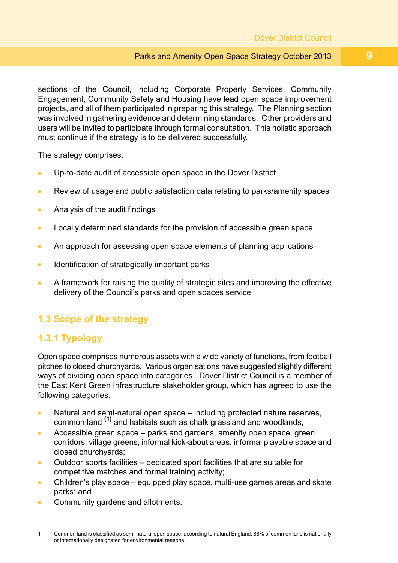sections of the Council, including Corporate Property Services, Community Engagement, Community Safety and Housing have lead open space improvement projects, and all of them participated in preparing this strategy. The Planning section was involved in gathering evidence and determining standards. Other providers and users will be invited to participate through formal consultation. This holistic approach must continue if the strategy is to be delivered successfully.

The strategy comprises:

- Up-to-date audit of accessible open space in the Dover District  $\bullet$
- Review of usage and public satisfaction data relating to parks/amenity spaces  $\bullet$
- Analysis of the audit findings  $\bullet$
- Locally determined standards for the provision of accessible green space  $\bullet$
- An approach for assessing open space elements of planning applications  $\bullet$
- Identification of strategically important parks  $\bullet$
- <span id="page-10-0"></span>A framework for raising the quality of strategic sites and improving the effective  $\bullet$ delivery of the Council's parks and open spaces service

## <span id="page-10-1"></span>**1.3 Scope of the strategy**

## **1.3.1 Typology**

Open space comprises numerous assets with a wide variety of functions, from football pitches to closed churchyards. Various organisations have suggested slightly different ways of dividing open space into categories. Dover District Council is a member of the East Kent Green Infrastructure stakeholder group, which has agreed to use the following categories:

- Natural and semi-natural open space including protected nature reserves,  $\bullet$ common land **(1)** and habitats such as chalk grassland and woodlands;
- Accessible green space parks and gardens, amenity open space, green  $\bullet$ corridors, village greens, informal kick-about areas, informal playable space and closed churchyards;
- Outdoor sports facilities dedicated sport facilities that are suitable for  $\bullet$ competitive matches and formal training activity;
- Children's play space equipped play space, multi-use games areas and skate  $\bullet$ parks; and
- Community gardens and allotments.

1 Common land is classified as semi-natural open space; according to natural England, 88% of common land is nationally or internationally designated for environmental reasons.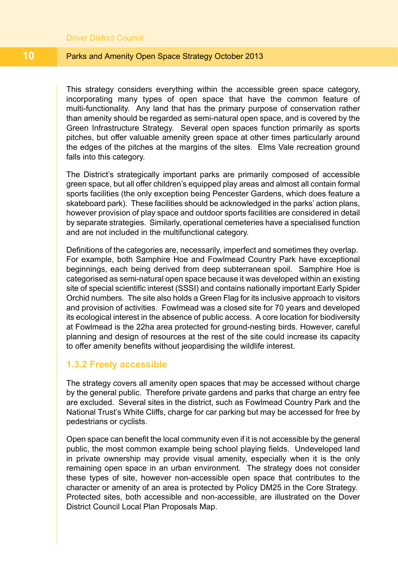#### **10** Parks and Amenity Open Space Strategy October 2013

This strategy considers everything within the accessible green space category, incorporating many types of open space that have the common feature of multi-functionality. Any land that has the primary purpose of conservation rather than amenity should be regarded as semi-natural open space, and is covered by the Green Infrastructure Strategy. Several open spaces function primarily as sports pitches, but offer valuable amenity green space at other times particularly around the edges of the pitches at the margins of the sites. Elms Vale recreation ground falls into this category.

The District's strategically important parks are primarily composed of accessible green space, but all offer children's equipped play areas and almost all contain formal sports facilities (the only exception being Pencester Gardens, which does feature a skateboard park). These facilities should be acknowledged in the parks' action plans, however provision of play space and outdoor sports facilities are considered in detail by separate strategies. Similarly, operational cemeteries have a specialised function and are not included in the multifunctional category.

Definitions of the categories are, necessarily, imperfect and sometimes they overlap. For example, both Samphire Hoe and Fowlmead Country Park have exceptional beginnings, each being derived from deep subterranean spoil. Samphire Hoe is categorised as semi-natural open space because it was developed within an existing site of special scientific interest (SSSI) and contains nationally important Early Spider Orchid numbers. The site also holds a Green Flag for its inclusive approach to visitors and provision of activities. Fowlmead was a closed site for 70 years and developed its ecological interest in the absence of public access. A core location for biodiversity at Fowlmead is the 22ha area protected for ground-nesting birds. However, careful planning and design of resources at the rest of the site could increase its capacity to offer amenity benefits without jeopardising the wildlife interest.

#### <span id="page-11-0"></span>**1.3.2 Freely accessible**

The strategy covers all amenity open spaces that may be accessed without charge by the general public. Therefore private gardens and parks that charge an entry fee are excluded. Several sites in the district, such as Fowlmead Country Park and the National Trust's White Cliffs, charge for car parking but may be accessed for free by pedestrians or cyclists.

Open space can benefit the local community even if it is not accessible by the general public, the most common example being school playing fields. Undeveloped land in private ownership may provide visual amenity, especially when it is the only remaining open space in an urban environment. The strategy does not consider these types of site, however non-accessible open space that contributes to the character or amenity of an area is protected by Policy DM25 in the Core Strategy. Protected sites, both accessible and non-accessible, are illustrated on the Dover District Council Local Plan Proposals Map.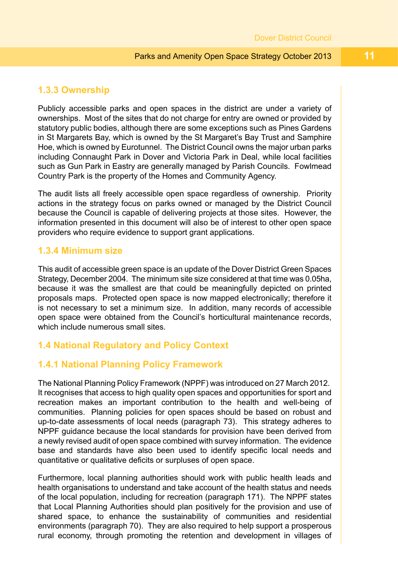#### <span id="page-12-0"></span>**1.3.3 Ownership**

Publicly accessible parks and open spaces in the district are under a variety of ownerships. Most of the sites that do not charge for entry are owned or provided by statutory public bodies, although there are some exceptions such as Pines Gardens in St Margarets Bay, which is owned by the St Margaret's Bay Trust and Samphire Hoe, which is owned by Eurotunnel. The District Council owns the major urban parks including Connaught Park in Dover and Victoria Park in Deal, while local facilities such as Gun Park in Eastry are generally managed by Parish Councils. Fowlmead Country Park is the property of the Homes and Community Agency.

The audit lists all freely accessible open space regardless of ownership. Priority actions in the strategy focus on parks owned or managed by the District Council because the Council is capable of delivering projects at those sites. However, the information presented in this document will also be of interest to other open space providers who require evidence to support grant applications.

#### <span id="page-12-1"></span>**1.3.4 Minimum size**

This audit of accessible green space is an update of the Dover District Green Spaces Strategy, December 2004. The minimum site size considered at that time was 0.05ha, because it was the smallest are that could be meaningfully depicted on printed proposals maps. Protected open space is now mapped electronically; therefore it is not necessary to set a minimum size. In addition, many records of accessible open space were obtained from the Council's horticultural maintenance records, which include numerous small sites.

## <span id="page-12-3"></span><span id="page-12-2"></span>**1.4 National Regulatory and Policy Context**

#### **1.4.1 National Planning Policy Framework**

The National Planning Policy Framework (NPPF) was introduced on 27 March 2012. It recognises that access to high quality open spaces and opportunities for sport and recreation makes an important contribution to the health and well-being of communities. Planning policies for open spaces should be based on robust and up-to-date assessments of local needs (paragraph 73). This strategy adheres to NPPF guidance because the local standards for provision have been derived from a newly revised audit of open space combined with survey information. The evidence base and standards have also been used to identify specific local needs and quantitative or qualitative deficits or surpluses of open space.

Furthermore, local planning authorities should work with public health leads and health organisations to understand and take account of the health status and needs of the local population, including for recreation (paragraph 171). The NPPF states that Local Planning Authorities should plan positively for the provision and use of shared space, to enhance the sustainability of communities and residential environments (paragraph 70). They are also required to help support a prosperous rural economy, through promoting the retention and development in villages of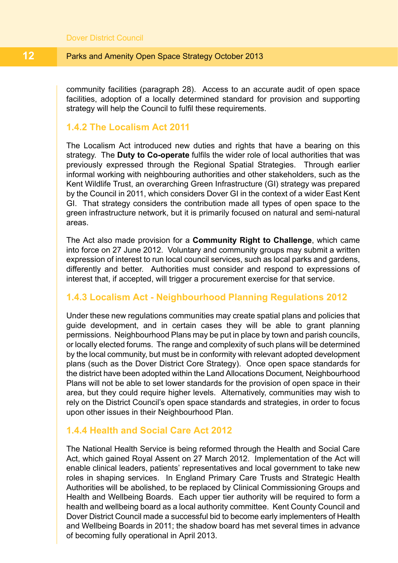community facilities (paragraph 28). Access to an accurate audit of open space facilities, adoption of a locally determined standard for provision and supporting strategy will help the Council to fulfil these requirements.

#### <span id="page-13-0"></span>**1.4.2 The Localism Act 2011**

The Localism Act introduced new duties and rights that have a bearing on this strategy. The **Duty to Co-operate** fulfils the wider role of local authorities that was previously expressed through the Regional Spatial Strategies. Through earlier informal working with neighbouring authorities and other stakeholders, such as the Kent Wildlife Trust, an overarching Green Infrastructure (GI) strategy was prepared by the Council in 2011, which considers Dover GI in the context of a wider East Kent GI. That strategy considers the contribution made all types of open space to the green infrastructure network, but it is primarily focused on natural and semi-natural areas.

<span id="page-13-1"></span>The Act also made provision for a **Community Right to Challenge**, which came into force on 27 June 2012. Voluntary and community groups may submit a written expression of interest to run local council services, such as local parks and gardens, differently and better. Authorities must consider and respond to expressions of interest that, if accepted, will trigger a procurement exercise for that service.

## **1.4.3 Localism Act - Neighbourhood Planning Regulations 2012**

Under these new regulations communities may create spatial plans and policies that guide development, and in certain cases they will be able to grant planning permissions. Neighbourhood Plans may be put in place by town and parish councils, or locally elected forums. The range and complexity of such plans will be determined by the local community, but must be in conformity with relevant adopted development plans (such as the Dover District Core Strategy). Once open space standards for the district have been adopted within the Land Allocations Document*,* Neighbourhood Plans will not be able to set lower standards for the provision of open space in their area, but they could require higher levels. Alternatively, communities may wish to rely on the District Council's open space standards and strategies, in order to focus upon other issues in their Neighbourhood Plan.

#### <span id="page-13-2"></span>**1.4.4 Health and Social Care Act 2012**

The National Health Service is being reformed through the Health and Social Care Act, which gained Royal Assent on 27 March 2012. Implementation of the Act will enable clinical leaders, patients' representatives and local government to take new roles in shaping services. In England Primary Care Trusts and Strategic Health Authorities will be abolished, to be replaced by Clinical Commissioning Groups and Health and Wellbeing Boards. Each upper tier authority will be required to form a health and wellbeing board as a local authority committee. Kent County Council and Dover District Council made a successful bid to become early implementers of Health and Wellbeing Boards in 2011; the shadow board has met several times in advance of becoming fully operational in April 2013.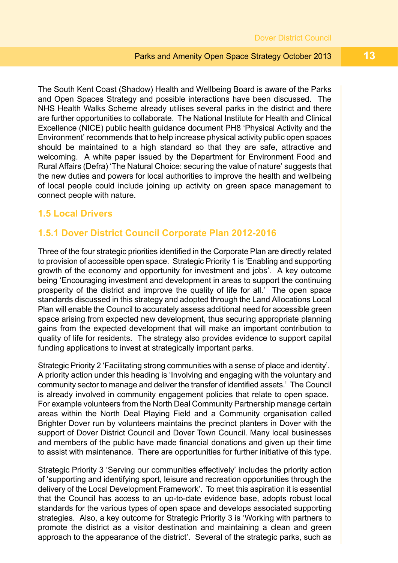The South Kent Coast (Shadow) Health and Wellbeing Board is aware of the Parks and Open Spaces Strategy and possible interactions have been discussed. The NHS Health Walks Scheme already utilises several parks in the district and there are further opportunities to collaborate. The National Institute for Health and Clinical Excellence (NICE) public health guidance document PH8 'Physical Activity and the Environment' recommends that to help increase physical activity public open spaces should be maintained to a high standard so that they are safe, attractive and welcoming. A white paper issued by the Department for Environment Food and Rural Affairs (Defra) 'The Natural Choice: securing the value of nature' suggests that the new duties and powers for local authorities to improve the health and wellbeing of local people could include joining up activity on green space management to connect people with nature.

#### <span id="page-14-1"></span><span id="page-14-0"></span>**1.5 Local Drivers**

## **1.5.1 Dover District Council Corporate Plan 2012-2016**

Three of the four strategic priorities identified in the Corporate Plan are directly related to provision of accessible open space. Strategic Priority 1 is 'Enabling and supporting growth of the economy and opportunity for investment and jobs'. A key outcome being 'Encouraging investment and development in areas to support the continuing prosperity of the district and improve the quality of life for all.' The open space standards discussed in this strategy and adopted through the Land Allocations Local Plan will enable the Council to accurately assess additional need for accessible green space arising from expected new development, thus securing appropriate planning gains from the expected development that will make an important contribution to quality of life for residents. The strategy also provides evidence to support capital funding applications to invest at strategically important parks.

Strategic Priority 2 'Facilitating strong communities with a sense of place and identity'. A priority action under this heading is 'Involving and engaging with the voluntary and community sector to manage and deliver the transfer of identified assets.' The Council is already involved in community engagement policies that relate to open space. For example volunteers from the North Deal Community Partnership manage certain areas within the North Deal Playing Field and a Community organisation called Brighter Dover run by volunteers maintains the precinct planters in Dover with the support of Dover District Council and Dover Town Council. Many local businesses and members of the public have made financial donations and given up their time to assist with maintenance. There are opportunities for further initiative of this type.

Strategic Priority 3 'Serving our communities effectively' includes the priority action of 'supporting and identifying sport, leisure and recreation opportunities through the delivery of the Local Development Framework'. To meet this aspiration it is essential that the Council has access to an up-to-date evidence base, adopts robust local standards for the various types of open space and develops associated supporting strategies. Also, a key outcome for Strategic Priority 3 is 'Working with partners to promote the district as a visitor destination and maintaining a clean and green approach to the appearance of the district'. Several of the strategic parks, such as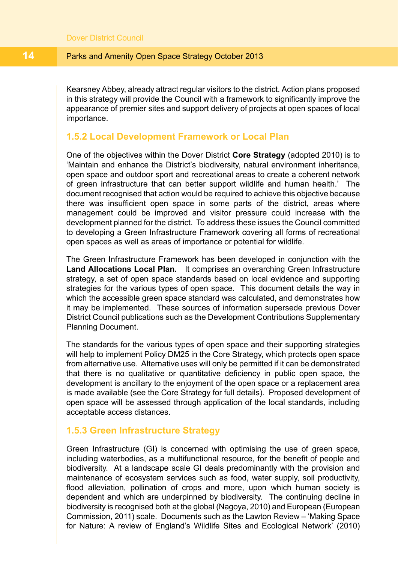Kearsney Abbey, already attract regular visitors to the district. Action plans proposed in this strategy will provide the Council with a framework to significantly improve the appearance of premier sites and support delivery of projects at open spaces of local importance.

#### <span id="page-15-0"></span>**1.5.2 Local Development Framework or Local Plan**

One of the objectives within the Dover District **Core Strategy** (adopted 2010) is to 'Maintain and enhance the District's biodiversity, natural environment inheritance, open space and outdoor sport and recreational areas to create a coherent network of green infrastructure that can better support wildlife and human health.' The document recognised that action would be required to achieve this objective because there was insufficient open space in some parts of the district, areas where management could be improved and visitor pressure could increase with the development planned for the district. To address these issues the Council committed to developing a Green Infrastructure Framework covering all forms of recreational open spaces as well as areas of importance or potential for wildlife.

The Green Infrastructure Framework has been developed in conjunction with the **Land Allocations Local Plan.** It comprises an overarching Green Infrastructure strategy, a set of open space standards based on local evidence and supporting strategies for the various types of open space. This document details the way in which the accessible green space standard was calculated, and demonstrates how it may be implemented. These sources of information supersede previous Dover District Council publications such as the Development Contributions Supplementary Planning Document.

<span id="page-15-1"></span>The standards for the various types of open space and their supporting strategies will help to implement Policy DM25 in the Core Strategy, which protects open space from alternative use. Alternative uses will only be permitted if it can be demonstrated that there is no qualitative or quantitative deficiency in public open space, the development is ancillary to the enjoyment of the open space or a replacement area is made available (see the Core Strategy for full details). Proposed development of open space will be assessed through application of the local standards, including acceptable access distances.

#### **1.5.3 Green Infrastructure Strategy**

Green Infrastructure (GI) is concerned with optimising the use of green space, including waterbodies, as a multifunctional resource, for the benefit of people and biodiversity. At a landscape scale GI deals predominantly with the provision and maintenance of ecosystem services such as food, water supply, soil productivity, flood alleviation, pollination of crops and more, upon which human society is dependent and which are underpinned by biodiversity. The continuing decline in biodiversity is recognised both at the global (Nagoya, 2010) and European (European Commission, 2011) scale. Documents such as the Lawton Review – 'Making Space for Nature: A review of England's Wildlife Sites and Ecological Network' (2010)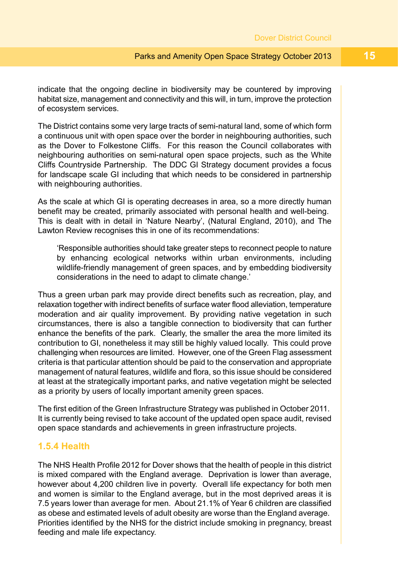indicate that the ongoing decline in biodiversity may be countered by improving habitat size, management and connectivity and this will, in turn, improve the protection of ecosystem services.

The District contains some very large tracts of semi-natural land, some of which form a continuous unit with open space over the border in neighbouring authorities, such as the Dover to Folkestone Cliffs. For this reason the Council collaborates with neighbouring authorities on semi-natural open space projects, such as the White Cliffs Countryside Partnership. The DDC GI Strategy document provides a focus for landscape scale GI including that which needs to be considered in partnership with neighbouring authorities.

As the scale at which GI is operating decreases in area, so a more directly human benefit may be created, primarily associated with personal health and well-being. This is dealt with in detail in 'Nature Nearby', (Natural England, 2010), and The Lawton Review recognises this in one of its recommendations:

'Responsible authorities should take greater steps to reconnect people to nature by enhancing ecological networks within urban environments, including wildlife-friendly management of green spaces, and by embedding biodiversity considerations in the need to adapt to climate change.'

Thus a green urban park may provide direct benefits such as recreation, play, and relaxation together with indirect benefits of surface water flood alleviation, temperature moderation and air quality improvement. By providing native vegetation in such circumstances, there is also a tangible connection to biodiversity that can further enhance the benefits of the park. Clearly, the smaller the area the more limited its contribution to GI, nonetheless it may still be highly valued locally. This could prove challenging when resources are limited. However, one of the Green Flag assessment criteria is that particular attention should be paid to the conservation and appropriate management of natural features, wildlife and flora, so this issue should be considered at least at the strategically important parks, and native vegetation might be selected as a priority by users of locally important amenity green spaces.

<span id="page-16-0"></span>The first edition of the Green Infrastructure Strategy was published in October 2011. It is currently being revised to take account of the updated open space audit, revised open space standards and achievements in green infrastructure projects.

#### **1.5.4 Health**

The NHS Health Profile 2012 for Dover shows that the health of people in this district is mixed compared with the England average. Deprivation is lower than average, however about 4,200 children live in poverty. Overall life expectancy for both men and women is similar to the England average, but in the most deprived areas it is 7.5 years lower than average for men. About 21.1% of Year 6 children are classified as obese and estimated levels of adult obesity are worse than the England average. Priorities identified by the NHS for the district include smoking in pregnancy, breast feeding and male life expectancy.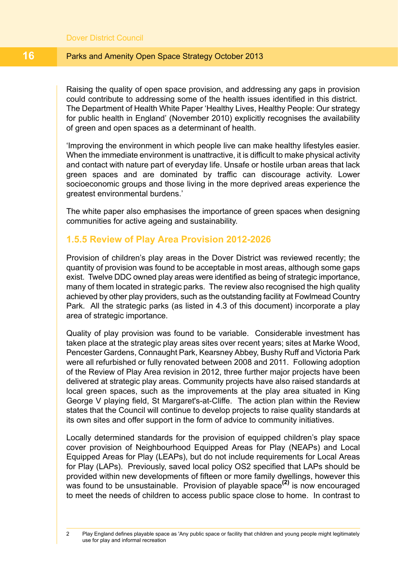#### **16** Parks and Amenity Open Space Strategy October 2013

Raising the quality of open space provision, and addressing any gaps in provision could contribute to addressing some of the health issues identified in this district. The Department of Health White Paper 'Healthy Lives, Healthy People: Our strategy for public health in England' (November 2010) explicitly recognises the availability of green and open spaces as a determinant of health.

'Improving the environment in which people live can make healthy lifestyles easier. When the immediate environment is unattractive, it is difficult to make physical activity and contact with nature part of everyday life. Unsafe or hostile urban areas that lack green spaces and are dominated by traffic can discourage activity. Lower socioeconomic groups and those living in the more deprived areas experience the greatest environmental burdens.'

<span id="page-17-0"></span>The white paper also emphasises the importance of green spaces when designing communities for active ageing and sustainability.

## **1.5.5 Review of Play Area Provision 2012-2026**

Provision of children's play areas in the Dover District was reviewed recently; the quantity of provision was found to be acceptable in most areas, although some gaps exist. Twelve DDC owned play areas were identified as being of strategic importance, many of them located in strategic parks. The review also recognised the high quality achieved by other play providers, such as the outstanding facility at Fowlmead Country Park. All the strategic parks (as listed in 4.3 of this document) incorporate a play area of strategic importance.

Quality of play provision was found to be variable. Considerable investment has taken place at the strategic play areas sites over recent years; sites at Marke Wood, Pencester Gardens, Connaught Park, Kearsney Abbey, Bushy Ruff and Victoria Park were all refurbished or fully renovated between 2008 and 2011. Following adoption of the Review of Play Area revision in 2012, three further major projects have been delivered at strategic play areas. Community projects have also raised standards at local green spaces, such as the improvements at the play area situated in King George V playing field, St Margaret's-at-Cliffe. The action plan within the Review states that the Council will continue to develop projects to raise quality standards at its own sites and offer support in the form of advice to community initiatives.

Locally determined standards for the provision of equipped children's play space cover provision of Neighbourhood Equipped Areas for Play (NEAPs) and Local Equipped Areas for Play (LEAPs), but do not include requirements for Local Areas for Play (LAPs). Previously, saved local policy OS2 specified that LAPs should be provided within new developments of fifteen or more family dwellings, however this was found to be unsustainable. Provision of playable space**(2)** is now encouraged to meet the needs of children to access public space close to home. In contrast to

<sup>2</sup> Play England defines playable space as 'Any public space or facility that children and young people might legitimately use for play and informal recreation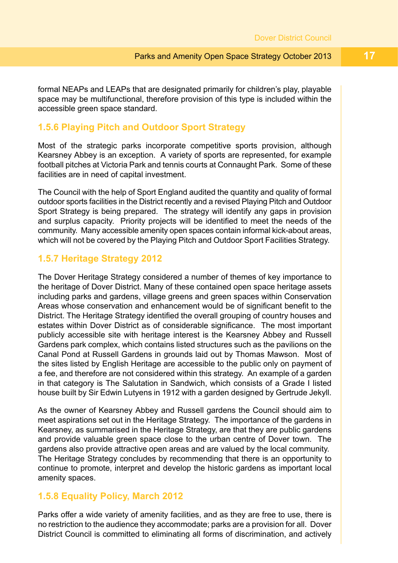formal NEAPs and LEAPs that are designated primarily for children's play, playable space may be multifunctional, therefore provision of this type is included within the accessible green space standard.

## <span id="page-18-0"></span>**1.5.6 Playing Pitch and Outdoor Sport Strategy**

Most of the strategic parks incorporate competitive sports provision, although Kearsney Abbey is an exception. A variety of sports are represented, for example football pitches at Victoria Park and tennis courts at Connaught Park. Some of these facilities are in need of capital investment.

The Council with the help of Sport England audited the quantity and quality of formal outdoor sports facilities in the District recently and a revised Playing Pitch and Outdoor Sport Strategy is being prepared. The strategy will identify any gaps in provision and surplus capacity. Priority projects will be identified to meet the needs of the community. Many accessible amenity open spaces contain informal kick-about areas, which will not be covered by the Playing Pitch and Outdoor Sport Facilities Strategy.

#### <span id="page-18-1"></span>**1.5.7 Heritage Strategy 2012**

The Dover Heritage Strategy considered a number of themes of key importance to the heritage of Dover District. Many of these contained open space heritage assets including parks and gardens, village greens and green spaces within Conservation Areas whose conservation and enhancement would be of significant benefit to the District. The Heritage Strategy identified the overall grouping of country houses and estates within Dover District as of considerable significance. The most important publicly accessible site with heritage interest is the Kearsney Abbey and Russell Gardens park complex, which contains listed structures such as the pavilions on the Canal Pond at Russell Gardens in grounds laid out by Thomas Mawson. Most of the sites listed by English Heritage are accessible to the public only on payment of a fee, and therefore are not considered within this strategy. An example of a garden in that category is The Salutation in Sandwich, which consists of a Grade I listed house built by Sir Edwin Lutyens in 1912 with a garden designed by Gertrude Jekyll.

<span id="page-18-2"></span>As the owner of Kearsney Abbey and Russell gardens the Council should aim to meet aspirations set out in the Heritage Strategy. The importance of the gardens in Kearsney, as summarised in the Heritage Strategy, are that they are public gardens and provide valuable green space close to the urban centre of Dover town. The gardens also provide attractive open areas and are valued by the local community. The Heritage Strategy concludes by recommending that there is an opportunity to continue to promote, interpret and develop the historic gardens as important local amenity spaces.

## **1.5.8 Equality Policy, March 2012**

Parks offer a wide variety of amenity facilities, and as they are free to use, there is no restriction to the audience they accommodate; parks are a provision for all. Dover District Council is committed to eliminating all forms of discrimination, and actively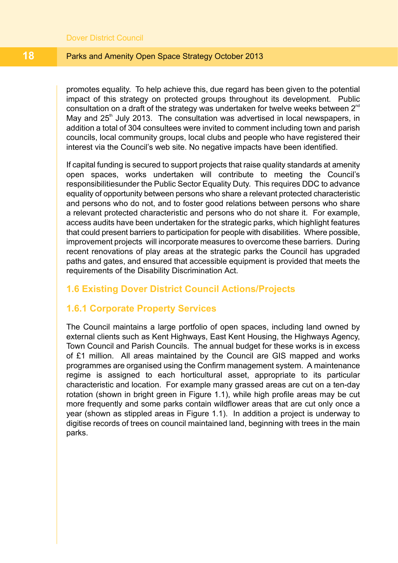#### **18** Parks and Amenity Open Space Strategy October 2013

promotes equality. To help achieve this, due regard has been given to the potential impact of this strategy on protected groups throughout its development. Public consultation on a draft of the strategy was undertaken for twelve weeks between  $2^{nd}$ May and  $25<sup>th</sup>$  July 2013. The consultation was advertised in local newspapers, in addition a total of 304 consultees were invited to comment including town and parish councils, local community groups, local clubs and people who have registered their interest via the Council's web site. No negative impacts have been identified.

If capital funding is secured to support projects that raise quality standards at amenity open spaces, works undertaken will contribute to meeting the Council's responsibilitiesunder the Public Sector Equality Duty. This requires DDC to advance equality of opportunity between persons who share a relevant protected characteristic and persons who do not, and to foster good relations between persons who share a relevant protected characteristic and persons who do not share it. For example, access audits have been undertaken for the strategic parks, which highlight features that could present barriers to participation for people with disabilities. Where possible, improvement projects will incorporate measures to overcome these barriers. During recent renovations of play areas at the strategic parks the Council has upgraded paths and gates, and ensured that accessible equipment is provided that meets the requirements of the Disability Discrimination Act.

#### <span id="page-19-1"></span><span id="page-19-0"></span>**1.6 Existing Dover District Council Actions/Projects**

#### **1.6.1 Corporate Property Services**

The Council maintains a large portfolio of open spaces, including land owned by external clients such as Kent Highways, East Kent Housing, the Highways Agency, Town Council and Parish Councils. The annual budget for these works is in excess of £1 million. All areas maintained by the Council are GIS mapped and works programmes are organised using the Confirm management system. A maintenance regime is assigned to each horticultural asset, appropriate to its particular characteristic and location. For example many grassed areas are cut on a ten-day rotation (shown in bright green in Figure 1.1), while high profile areas may be cut more frequently and some parks contain wildflower areas that are cut only once a year (shown as stippled areas in Figure 1.1). In addition a project is underway to digitise records of trees on council maintained land, beginning with trees in the main parks.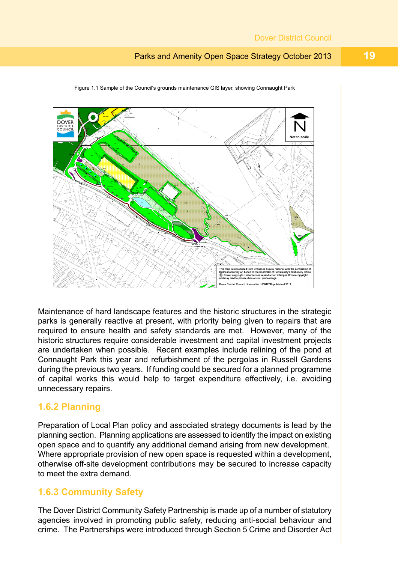

Figure 1.1 Sample of the Council's grounds maintenance GIS layer, showing Connaught Park

Maintenance of hard landscape features and the historic structures in the strategic parks is generally reactive at present, with priority being given to repairs that are required to ensure health and safety standards are met. However, many of the historic structures require considerable investment and capital investment projects are undertaken when possible. Recent examples include relining of the pond at Connaught Park this year and refurbishment of the pergolas in Russell Gardens during the previous two years. If funding could be secured for a planned programme of capital works this would help to target expenditure effectively, i.e. avoiding unnecessary repairs.

#### <span id="page-20-0"></span>**1.6.2 Planning**

<span id="page-20-1"></span>Preparation of Local Plan policy and associated strategy documents is lead by the planning section. Planning applications are assessed to identify the impact on existing open space and to quantify any additional demand arising from new development. Where appropriate provision of new open space is requested within a development, otherwise off-site development contributions may be secured to increase capacity to meet the extra demand.

## **1.6.3 Community Safety**

The Dover District Community Safety Partnership is made up of a number of statutory agencies involved in promoting public safety, reducing anti-social behaviour and crime. The Partnerships were introduced through Section 5 Crime and Disorder Act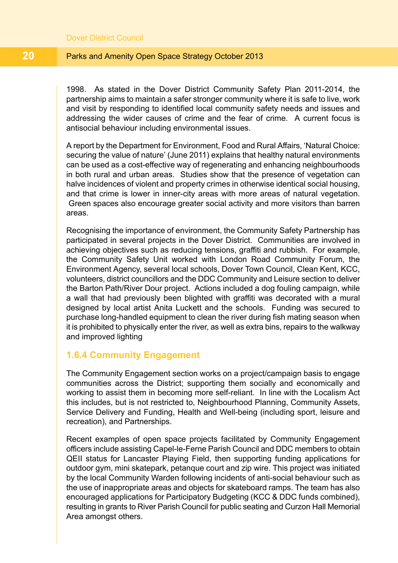#### **20** Parks and Amenity Open Space Strategy October 2013

1998. As stated in the Dover District Community Safety Plan 2011-2014, the partnership aims to maintain a safer stronger community where it is safe to live, work and visit by responding to identified local community safety needs and issues and addressing the wider causes of crime and the fear of crime. A current focus is antisocial behaviour including environmental issues.

A report by the Department for Environment, Food and Rural Affairs, 'Natural Choice: securing the value of nature' (June 2011) explains that healthy natural environments can be used as a cost-effective way of regenerating and enhancing neighbourhoods in both rural and urban areas. Studies show that the presence of vegetation can halve incidences of violent and property crimes in otherwise identical social housing, and that crime is lower in inner-city areas with more areas of natural vegetation. Green spaces also encourage greater social activity and more visitors than barren areas.

Recognising the importance of environment, the Community Safety Partnership has participated in several projects in the Dover District. Communities are involved in achieving objectives such as reducing tensions, graffiti and rubbish. For example, the Community Safety Unit worked with London Road Community Forum, the Environment Agency, several local schools, Dover Town Council, Clean Kent, KCC, volunteers, district councillors and the DDC Community and Leisure section to deliver the Barton Path/River Dour project. Actions included a dog fouling campaign, while a wall that had previously been blighted with graffiti was decorated with a mural designed by local artist Anita Luckett and the schools. Funding was secured to purchase long-handled equipment to clean the river during fish mating season when it is prohibited to physically enter the river, as well as extra bins, repairs to the walkway and improved lighting

#### <span id="page-21-0"></span>**1.6.4 Community Engagement**

The Community Engagement section works on a project/campaign basis to engage communities across the District; supporting them socially and economically and working to assist them in becoming more self-reliant. In line with the Localism Act this includes, but is not restricted to, Neighbourhood Planning, Community Assets, Service Delivery and Funding, Health and Well-being (including sport, leisure and recreation), and Partnerships.

Recent examples of open space projects facilitated by Community Engagement officers include assisting Capel-le-Ferne Parish Council and DDC members to obtain QEII status for Lancaster Playing Field, then supporting funding applications for outdoor gym, mini skatepark, petanque court and zip wire. This project was initiated by the local Community Warden following incidents of anti-social behaviour such as the use of inappropriate areas and objects for skateboard ramps. The team has also encouraged applications for Participatory Budgeting (KCC & DDC funds combined), resulting in grants to River Parish Council for public seating and Curzon Hall Memorial Area amongst others.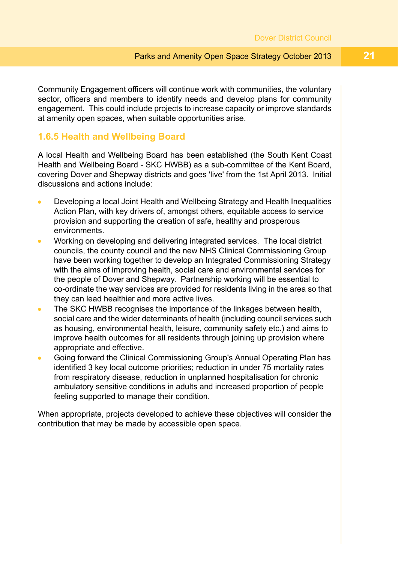Community Engagement officers will continue work with communities, the voluntary sector, officers and members to identify needs and develop plans for community engagement. This could include projects to increase capacity or improve standards at amenity open spaces, when suitable opportunities arise.

## <span id="page-22-0"></span>**1.6.5 Health and Wellbeing Board**

A local Health and Wellbeing Board has been established (the South Kent Coast Health and Wellbeing Board - SKC HWBB) as a sub-committee of the Kent Board, covering Dover and Shepway districts and goes 'live' from the 1st April 2013. Initial discussions and actions include:

- Developing a local Joint Health and Wellbeing Strategy and Health Inequalities  $\bullet$ Action Plan, with key drivers of, amongst others, equitable access to service provision and supporting the creation of safe, healthy and prosperous environments.
- Working on developing and delivering integrated services. The local district  $\bullet$ councils, the county council and the new NHS Clinical Commissioning Group have been working together to develop an Integrated Commissioning Strategy with the aims of improving health, social care and environmental services for the people of Dover and Shepway. Partnership working will be essential to co-ordinate the way services are provided for residents living in the area so that they can lead healthier and more active lives.
- The SKC HWBB recognises the importance of the linkages between health,  $\bullet$ social care and the wider determinants of health (including council services such as housing, environmental health, leisure, community safety etc.) and aims to improve health outcomes for all residents through joining up provision where appropriate and effective.
- Going forward the Clinical Commissioning Group's Annual Operating Plan has  $\bullet$ identified 3 key local outcome priorities; reduction in under 75 mortality rates from respiratory disease, reduction in unplanned hospitalisation for chronic ambulatory sensitive conditions in adults and increased proportion of people feeling supported to manage their condition.

When appropriate, projects developed to achieve these objectives will consider the contribution that may be made by accessible open space.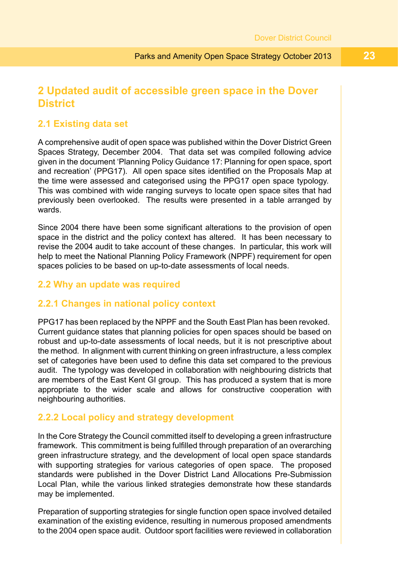## <span id="page-24-1"></span><span id="page-24-0"></span>**2.1 Existing data set**

A comprehensive audit of open space was published within the Dover District Green Spaces Strategy, December 2004. That data set was compiled following advice given in the document 'Planning Policy Guidance 17: Planning for open space, sport and recreation' (PPG17). All open space sites identified on the Proposals Map at the time were assessed and categorised using the PPG17 open space typology. This was combined with wide ranging surveys to locate open space sites that had previously been overlooked. The results were presented in a table arranged by wards.

<span id="page-24-2"></span>Since 2004 there have been some significant alterations to the provision of open space in the district and the policy context has altered. It has been necessary to revise the 2004 audit to take account of these changes. In particular, this work will help to meet the National Planning Policy Framework (NPPF) requirement for open spaces policies to be based on up-to-date assessments of local needs.

## <span id="page-24-3"></span>**2.2 Why an update was required**

## **2.2.1 Changes in national policy context**

PPG17 has been replaced by the NPPF and the South East Plan has been revoked. Current guidance states that planning policies for open spaces should be based on robust and up-to-date assessments of local needs, but it is not prescriptive about the method. In alignment with current thinking on green infrastructure, a less complex set of categories have been used to define this data set compared to the previous audit. The typology was developed in collaboration with neighbouring districts that are members of the East Kent GI group. This has produced a system that is more appropriate to the wider scale and allows for constructive cooperation with neighbouring authorities.

## <span id="page-24-4"></span>**2.2.2 Local policy and strategy development**

In the Core Strategy the Council committed itself to developing a green infrastructure framework. This commitment is being fulfilled through preparation of an overarching green infrastructure strategy, and the development of local open space standards with supporting strategies for various categories of open space. The proposed standards were published in the Dover District Land Allocations Pre-Submission Local Plan, while the various linked strategies demonstrate how these standards may be implemented.

Preparation of supporting strategies for single function open space involved detailed examination of the existing evidence, resulting in numerous proposed amendments to the 2004 open space audit. Outdoor sport facilities were reviewed in collaboration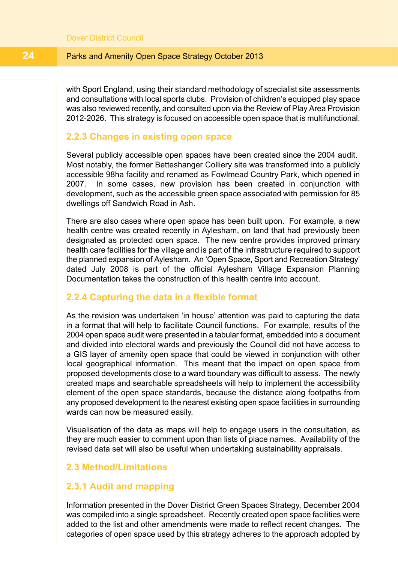with Sport England, using their standard methodology of specialist site assessments and consultations with local sports clubs. Provision of children's equipped play space was also reviewed recently, and consulted upon via the Review of Play Area Provision 2012-2026. This strategy is focused on accessible open space that is multifunctional.

#### <span id="page-25-0"></span>**2.2.3 Changes in existing open space**

Several publicly accessible open spaces have been created since the 2004 audit. Most notably, the former Betteshanger Colliery site was transformed into a publicly accessible 98ha facility and renamed as Fowlmead Country Park, which opened in 2007. In some cases, new provision has been created in conjunction with development, such as the accessible green space associated with permission for 85 dwellings off Sandwich Road in Ash.

There are also cases where open space has been built upon. For example, a new health centre was created recently in Aylesham, on land that had previously been designated as protected open space. The new centre provides improved primary health care facilities for the village and is part of the infrastructure required to support the planned expansion of Aylesham. An 'Open Space, Sport and Recreation Strategy' dated July 2008 is part of the official Aylesham Village Expansion Planning Documentation takes the construction of this health centre into account.

#### <span id="page-25-1"></span>**2.2.4 Capturing the data in a flexible format**

As the revision was undertaken 'in house' attention was paid to capturing the data in a format that will help to facilitate Council functions. For example, results of the 2004 open space audit were presented in a tabular format, embedded into a document and divided into electoral wards and previously the Council did not have access to a GIS layer of amenity open space that could be viewed in conjunction with other local geographical information. This meant that the impact on open space from proposed developments close to a ward boundary was difficult to assess. The newly created maps and searchable spreadsheets will help to implement the accessibility element of the open space standards, because the distance along footpaths from any proposed development to the nearest existing open space facilities in surrounding wards can now be measured easily.

<span id="page-25-3"></span><span id="page-25-2"></span>Visualisation of the data as maps will help to engage users in the consultation, as they are much easier to comment upon than lists of place names. Availability of the revised data set will also be useful when undertaking sustainability appraisals.

#### **2.3 Method/Limitations**

#### **2.3.1 Audit and mapping**

Information presented in the Dover District Green Spaces Strategy, December 2004 was compiled into a single spreadsheet. Recently created open space facilities were added to the list and other amendments were made to reflect recent changes. The categories of open space used by this strategy adheres to the approach adopted by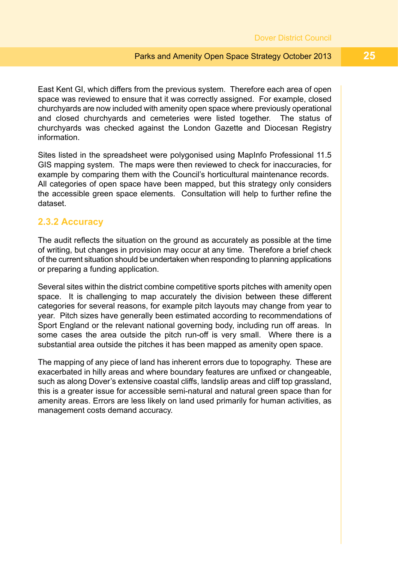East Kent GI, which differs from the previous system. Therefore each area of open space was reviewed to ensure that it was correctly assigned. For example, closed churchyards are now included with amenity open space where previously operational and closed churchyards and cemeteries were listed together. The status of churchyards was checked against the London Gazette and Diocesan Registry information.

Sites listed in the spreadsheet were polygonised using MapInfo Professional 11.5 GIS mapping system. The maps were then reviewed to check for inaccuracies, for example by comparing them with the Council's horticultural maintenance records. All categories of open space have been mapped, but this strategy only considers the accessible green space elements. Consultation will help to further refine the dataset.

#### <span id="page-26-0"></span>**2.3.2 Accuracy**

The audit reflects the situation on the ground as accurately as possible at the time of writing, but changes in provision may occur at any time. Therefore a brief check of the current situation should be undertaken when responding to planning applications or preparing a funding application.

Several sites within the district combine competitive sports pitches with amenity open space. It is challenging to map accurately the division between these different categories for several reasons, for example pitch layouts may change from year to year. Pitch sizes have generally been estimated according to recommendations of Sport England or the relevant national governing body, including run off areas. In some cases the area outside the pitch run-off is very small. Where there is a substantial area outside the pitches it has been mapped as amenity open space.

The mapping of any piece of land has inherent errors due to topography. These are exacerbated in hilly areas and where boundary features are unfixed or changeable, such as along Dover's extensive coastal cliffs, landslip areas and cliff top grassland, this is a greater issue for accessible semi-natural and natural green space than for amenity areas. Errors are less likely on land used primarily for human activities, as management costs demand accuracy.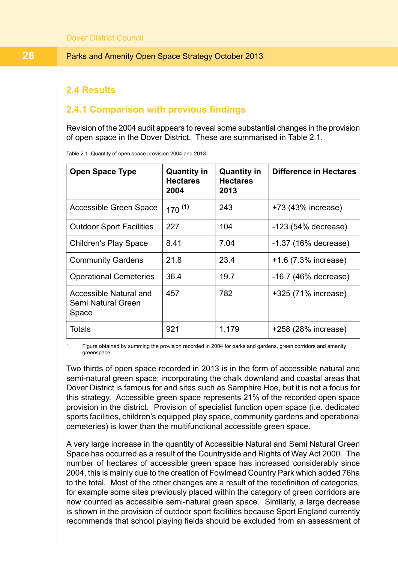#### <span id="page-27-1"></span><span id="page-27-0"></span>**2.4 Results**

#### **2.4.1 Comparison with previous findings**

Revision of the 2004 audit appears to reveal some substantial changes in the provision of open space in the Dover District. These are summarised in Table 2.1.

| <b>Open Space Type</b>                                | <b>Quantity in</b><br><b>Hectares</b><br>2004 | <b>Quantity in</b><br><b>Hectares</b><br>2013 | <b>Difference in Hectares</b> |
|-------------------------------------------------------|-----------------------------------------------|-----------------------------------------------|-------------------------------|
| Accessible Green Space                                | $170^{(1)}$                                   | 243                                           | +73 (43% increase)            |
| <b>Outdoor Sport Facilities</b>                       | 227                                           | 104                                           | $-123$ (54% decrease)         |
| <b>Children's Play Space</b>                          | 8.41                                          | 7.04                                          | $-1.37$ (16% decrease)        |
| <b>Community Gardens</b>                              | 21.8                                          | 23.4                                          | +1.6 (7.3% increase)          |
| <b>Operational Cemeteries</b>                         | 36.4                                          | 19.7                                          | $-16.7$ (46% decrease)        |
| Accessible Natural and<br>Semi Natural Green<br>Space | 457                                           | 782                                           | +325 (71% increase)           |
| Totals                                                | 921                                           | 1,179                                         | +258 (28% increase)           |

Table 2.1 Quantity of open space provision 2004 and 2013

1. Figure obtained by summing the provision recorded in 2004 for parks and gardens, green corridors and amenity greenspace

Two thirds of open space recorded in 2013 is in the form of accessible natural and semi-natural green space; incorporating the chalk downland and coastal areas that Dover District is famous for and sites such as Samphire Hoe, but it is not a focus for this strategy. Accessible green space represents 21% of the recorded open space provision in the district. Provision of specialist function open space (i.e. dedicated sports facilities, children's equipped play space, community gardens and operational cemeteries) is lower than the multifunctional accessible green space.

A very large increase in the quantity of Accessible Natural and Semi Natural Green Space has occurred as a result of the Countryside and Rights of Way Act 2000. The number of hectares of accessible green space has increased considerably since 2004, this is mainly due to the creation of Fowlmead Country Park which added 76ha to the total. Most of the other changes are a result of the redefinition of categories, for example some sites previously placed within the category of green corridors are now counted as accessible semi-natural green space. Similarly, a large decrease is shown in the provision of outdoor sport facilities because Sport England currently recommends that school playing fields should be excluded from an assessment of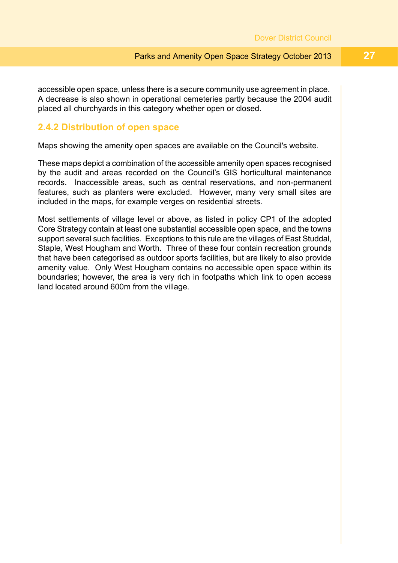accessible open space, unless there is a secure community use agreement in place. A decrease is also shown in operational cemeteries partly because the 2004 audit placed all churchyards in this category whether open or closed.

## <span id="page-28-0"></span>**2.4.2 Distribution of open space**

Maps showing the amenity open spaces are available on the Council's website.

These maps depict a combination of the accessible amenity open spaces recognised by the audit and areas recorded on the Council's GIS horticultural maintenance records. Inaccessible areas, such as central reservations, and non-permanent features, such as planters were excluded. However, many very small sites are included in the maps, for example verges on residential streets.

Most settlements of village level or above, as listed in policy CP1 of the adopted Core Strategy contain at least one substantial accessible open space, and the towns support several such facilities. Exceptions to this rule are the villages of East Studdal, Staple, West Hougham and Worth. Three of these four contain recreation grounds that have been categorised as outdoor sports facilities, but are likely to also provide amenity value. Only West Hougham contains no accessible open space within its boundaries; however, the area is very rich in footpaths which link to open access land located around 600m from the village.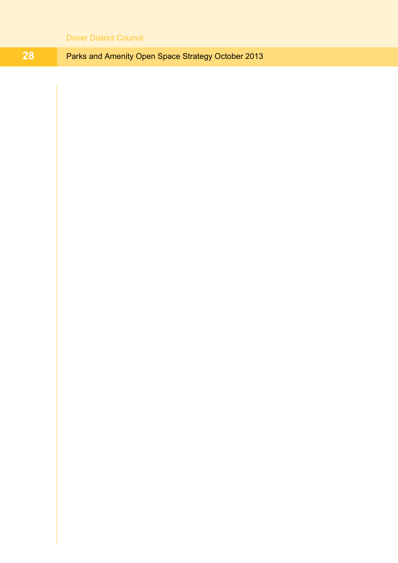| 28<br>Parks and Amenity Open Space Strategy October 2013 |  |
|----------------------------------------------------------|--|
|----------------------------------------------------------|--|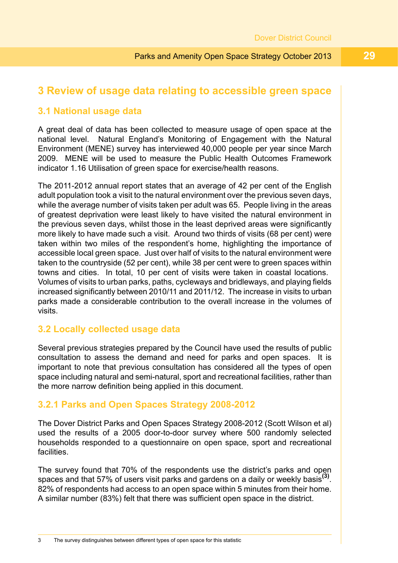## <span id="page-30-1"></span><span id="page-30-0"></span>**3.1 National usage data**

A great deal of data has been collected to measure usage of open space at the national level. Natural England's Monitoring of Engagement with the Natural Environment (MENE) survey has interviewed 40,000 people per year since March 2009. MENE will be used to measure the Public Health Outcomes Framework indicator 1.16 Utilisation of green space for exercise/health reasons.

The 2011-2012 annual report states that an average of 42 per cent of the English adult population took a visit to the natural environment over the previous seven days, while the average number of visits taken per adult was 65. People living in the areas of greatest deprivation were least likely to have visited the natural environment in the previous seven days, whilst those in the least deprived areas were significantly more likely to have made such a visit. Around two thirds of visits (68 per cent) were taken within two miles of the respondent's home, highlighting the importance of accessible local green space. Just over half of visits to the natural environment were taken to the countryside (52 per cent), while 38 per cent were to green spaces within towns and cities. In total, 10 per cent of visits were taken in coastal locations. Volumes of visits to urban parks, paths, cycleways and bridleways, and playing fields increased significantly between 2010/11 and 2011/12. The increase in visits to urban parks made a considerable contribution to the overall increase in the volumes of visits.

## <span id="page-30-2"></span>**3.2 Locally collected usage data**

<span id="page-30-3"></span>Several previous strategies prepared by the Council have used the results of public consultation to assess the demand and need for parks and open spaces. It is important to note that previous consultation has considered all the types of open space including natural and semi-natural, sport and recreational facilities, rather than the more narrow definition being applied in this document.

## **3.2.1 Parks and Open Spaces Strategy 2008-2012**

The Dover District Parks and Open Spaces Strategy 2008-2012 (Scott Wilson et al) used the results of a 2005 door-to-door survey where 500 randomly selected households responded to a questionnaire on open space, sport and recreational facilities.

The survey found that 70% of the respondents use the district's parks and open spaces and that 57% of users visit parks and gardens on a daily or weekly basis<sup>(3)</sup>. 82% of respondents had access to an open space within 5 minutes from their home. A similar number (83%) felt that there was sufficient open space in the district.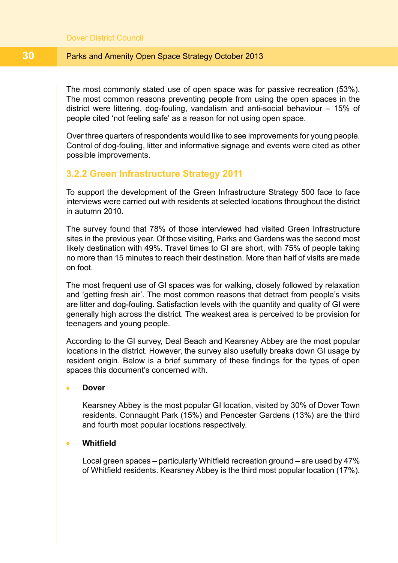The most commonly stated use of open space was for passive recreation (53%). The most common reasons preventing people from using the open spaces in the district were littering, dog-fouling, vandalism and anti-social behaviour – 15% of people cited 'not feeling safe' as a reason for not using open space.

Over three quarters of respondents would like to see improvements for young people. Control of dog-fouling, litter and informative signage and events were cited as other possible improvements.

#### <span id="page-31-0"></span>**3.2.2 Green Infrastructure Strategy 2011**

To support the development of the Green Infrastructure Strategy 500 face to face interviews were carried out with residents at selected locations throughout the district in autumn 2010.

The survey found that 78% of those interviewed had visited Green Infrastructure sites in the previous year. Of those visiting, Parks and Gardens was the second most likely destination with 49%. Travel times to GI are short, with 75% of people taking no more than 15 minutes to reach their destination. More than half of visits are made on foot.

The most frequent use of GI spaces was for walking, closely followed by relaxation and 'getting fresh air'. The most common reasons that detract from people's visits are litter and dog-fouling. Satisfaction levels with the quantity and quality of GI were generally high across the district. The weakest area is perceived to be provision for teenagers and young people.

According to the GI survey, Deal Beach and Kearsney Abbey are the most popular locations in the district. However, the survey also usefully breaks down GI usage by resident origin. Below is a brief summary of these findings for the types of open spaces this document's concerned with.

#### **Dover**

Kearsney Abbey is the most popular GI location, visited by 30% of Dover Town residents. Connaught Park (15%) and Pencester Gardens (13%) are the third and fourth most popular locations respectively.

#### **Whitfield**  $\bullet$

Local green spaces – particularly Whitfield recreation ground – are used by 47% of Whitfield residents. Kearsney Abbey is the third most popular location (17%).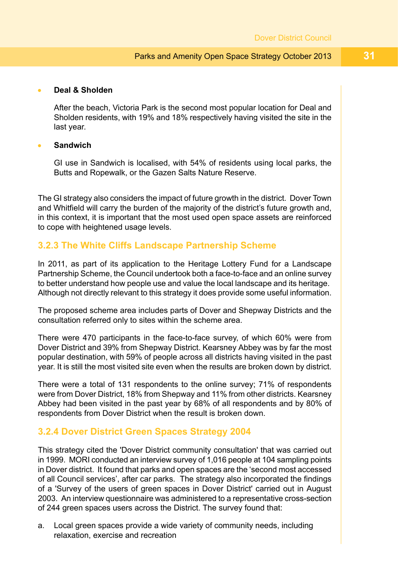After the beach, Victoria Park is the second most popular location for Deal and Sholden residents, with 19% and 18% respectively having visited the site in the last year.

#### **Sandwich**

GI use in Sandwich is localised, with 54% of residents using local parks, the Butts and Ropewalk, or the Gazen Salts Nature Reserve.

<span id="page-32-0"></span>The GI strategy also considers the impact of future growth in the district. Dover Town and Whitfield will carry the burden of the majority of the district's future growth and, in this context, it is important that the most used open space assets are reinforced to cope with heightened usage levels.

#### **3.2.3 The White Cliffs Landscape Partnership Scheme**

In 2011, as part of its application to the Heritage Lottery Fund for a Landscape Partnership Scheme, the Council undertook both a face-to-face and an online survey to better understand how people use and value the local landscape and its heritage. Although not directly relevant to this strategy it does provide some useful information.

The proposed scheme area includes parts of Dover and Shepway Districts and the consultation referred only to sites within the scheme area.

There were 470 participants in the face-to-face survey, of which 60% were from Dover District and 39% from Shepway District. Kearsney Abbey was by far the most popular destination, with 59% of people across all districts having visited in the past year. It is still the most visited site even when the results are broken down by district.

<span id="page-32-1"></span>There were a total of 131 respondents to the online survey; 71% of respondents were from Dover District, 18% from Shepway and 11% from other districts. Kearsney Abbey had been visited in the past year by 68% of all respondents and by 80% of respondents from Dover District when the result is broken down.

#### **3.2.4 Dover District Green Spaces Strategy 2004**

This strategy cited the 'Dover District community consultation' that was carried out in 1999. MORI conducted an interview survey of 1,016 people at 104 sampling points in Dover district. It found that parks and open spaces are the 'second most accessed of all Council services', after car parks. The strategy also incorporated the findings of a 'Survey of the users of green spaces in Dover District' carried out in August 2003. An interview questionnaire was administered to a representative cross-section of 244 green spaces users across the District. The survey found that:

a. Local green spaces provide a wide variety of community needs, including relaxation, exercise and recreation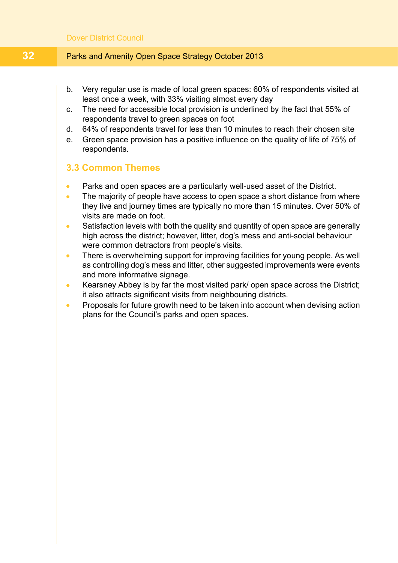- b. Very regular use is made of local green spaces: 60% of respondents visited at least once a week, with 33% visiting almost every day
- c. The need for accessible local provision is underlined by the fact that 55% of respondents travel to green spaces on foot
- d. 64% of respondents travel for less than 10 minutes to reach their chosen site
- <span id="page-33-0"></span>e. Green space provision has a positive influence on the quality of life of 75% of respondents.

#### **3.3 Common Themes**

- $\bullet$ Parks and open spaces are a particularly well-used asset of the District.
- The majority of people have access to open space a short distance from where  $\bullet$ they live and journey times are typically no more than 15 minutes. Over 50% of visits are made on foot.
- Satisfaction levels with both the quality and quantity of open space are generally  $\bullet$ high across the district; however, litter, dog's mess and anti-social behaviour were common detractors from people's visits.
- There is overwhelming support for improving facilities for young people. As well  $\bullet$ as controlling dog's mess and litter, other suggested improvements were events and more informative signage.
- Kearsney Abbey is by far the most visited park/ open space across the District;  $\bullet$ it also attracts significant visits from neighbouring districts.
- Proposals for future growth need to be taken into account when devising action  $\bullet$ plans for the Council's parks and open spaces.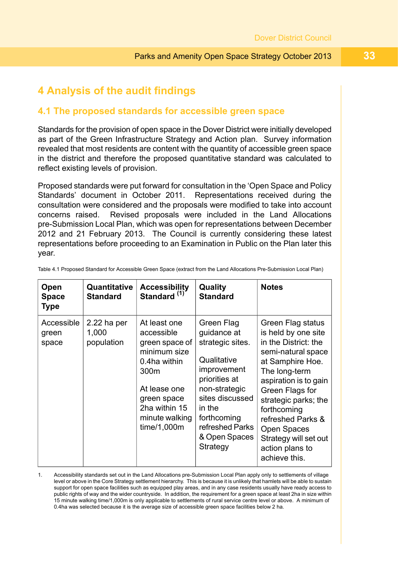# <span id="page-34-1"></span><span id="page-34-0"></span>**4 Analysis of the audit findings**

## **4.1 The proposed standards for accessible green space**

Standards for the provision of open space in the Dover District were initially developed as part of the Green Infrastructure Strategy and Action plan. Survey information revealed that most residents are content with the quantity of accessible green space in the district and therefore the proposed quantitative standard was calculated to reflect existing levels of provision.

Proposed standards were put forward for consultation in the 'Open Space and Policy Standards' document in October 2011. Representations received during the consultation were considered and the proposals were modified to take into account concerns raised. Revised proposals were included in the Land Allocations pre-Submission Local Plan, which was open for representations between December 2012 and 21 February 2013. The Council is currently considering these latest representations before proceeding to an Examination in Public on the Plan later this year.

| Open<br><b>Space</b><br><b>Type</b> | Quantitative<br><b>Standard</b>      | <b>Accessibility</b><br>Standard <sup>(1)</sup>                                                                                                                       | Quality<br><b>Standard</b>                                                                                                                                                                                | <b>Notes</b>                                                                                                                                                                                                                                                                                                    |
|-------------------------------------|--------------------------------------|-----------------------------------------------------------------------------------------------------------------------------------------------------------------------|-----------------------------------------------------------------------------------------------------------------------------------------------------------------------------------------------------------|-----------------------------------------------------------------------------------------------------------------------------------------------------------------------------------------------------------------------------------------------------------------------------------------------------------------|
| Accessible<br>green<br>space        | $2.22$ ha per<br>1,000<br>population | At least one<br>accessible<br>green space of<br>minimum size<br>0.4ha within<br>300m<br>At lease one<br>green space<br>2ha within 15<br>minute walking<br>time/1,000m | Green Flag<br>quidance at<br>strategic sites.<br>Qualitative<br>improvement<br>priorities at<br>non-strategic<br>sites discussed<br>in the<br>forthcoming<br>refreshed Parks<br>& Open Spaces<br>Strategy | Green Flag status<br>is held by one site<br>in the District: the<br>semi-natural space<br>at Samphire Hoe.<br>The long-term<br>aspiration is to gain<br>Green Flags for<br>strategic parks; the<br>forthcoming<br>refreshed Parks &<br>Open Spaces<br>Strategy will set out<br>action plans to<br>achieve this. |

Table 4.1 Proposed Standard for Accessible Green Space (extract from the Land Allocations Pre-Submission Local Plan)

1. Accessibility standards set out in the Land Allocations pre-Submission Local Plan apply only to settlements of village level or above in the Core Strategy settlement hierarchy. This is because it is unlikely that hamlets will be able to sustain support for open space facilities such as equipped play areas, and in any case residents usually have ready access to public rights of way and the wider countryside. In addition, the requirement for a green space at least 2ha in size within 15 minute walking time/1,000m is only applicable to settlements of rural service centre level or above. A minimum of 0.4ha was selected because it is the average size of accessible green space facilities below 2 ha.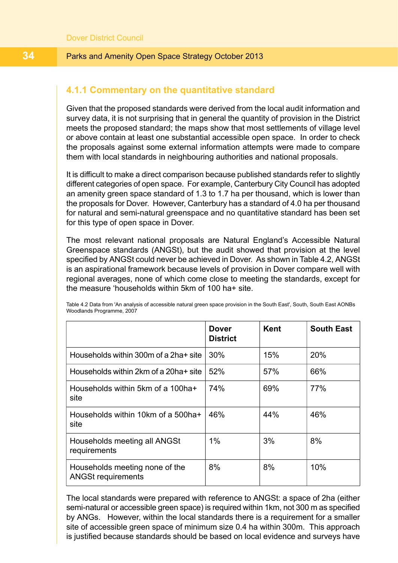#### <span id="page-35-0"></span>**4.1.1 Commentary on the quantitative standard**

Given that the proposed standards were derived from the local audit information and survey data, it is not surprising that in general the quantity of provision in the District meets the proposed standard; the maps show that most settlements of village level or above contain at least one substantial accessible open space. In order to check the proposals against some external information attempts were made to compare them with local standards in neighbouring authorities and national proposals.

It is difficult to make a direct comparison because published standards refer to slightly different categories of open space. For example, Canterbury City Council has adopted an amenity green space standard of 1.3 to 1.7 ha per thousand, which is lower than the proposals for Dover. However, Canterbury has a standard of 4.0 ha per thousand for natural and semi-natural greenspace and no quantitative standard has been set for this type of open space in Dover.

The most relevant national proposals are Natural England's Accessible Natural Greenspace standards (ANGSt), but the audit showed that provision at the level specified by ANGSt could never be achieved in Dover. As shown in Table 4.2, ANGSt is an aspirational framework because levels of provision in Dover compare well with regional averages, none of which come close to meeting the standards, except for the measure 'households within 5km of 100 ha+ site.

|                                                             | <b>Dover</b><br><b>District</b> | <b>Kent</b> | <b>South East</b> |
|-------------------------------------------------------------|---------------------------------|-------------|-------------------|
| Households within 300m of a 2ha+ site                       | 30%                             | 15%         | 20%               |
| Households within 2km of a 20ha+ site                       | 52%                             | 57%         | 66%               |
| Households within 5km of a 100ha+<br>site                   | 74%                             | 69%         | 77%               |
| Households within 10km of a 500ha+<br>site                  | 46%                             | 44%         | 46%               |
| Households meeting all ANGSt<br>requirements                | 1%                              | 3%          | 8%                |
| Households meeting none of the<br><b>ANGSt requirements</b> | 8%                              | 8%          | 10%               |

Table 4.2 Data from 'An analysis of accessible natural green space provision in the South East', South, South East AONBs Woodlands Programme, 2007

The local standards were prepared with reference to ANGSt: a space of 2ha (either semi-natural or accessible green space) is required within 1km, not 300 m as specified by ANGs. However, within the local standards there is a requirement for a smaller site of accessible green space of minimum size 0.4 ha within 300m. This approach is justified because standards should be based on local evidence and surveys have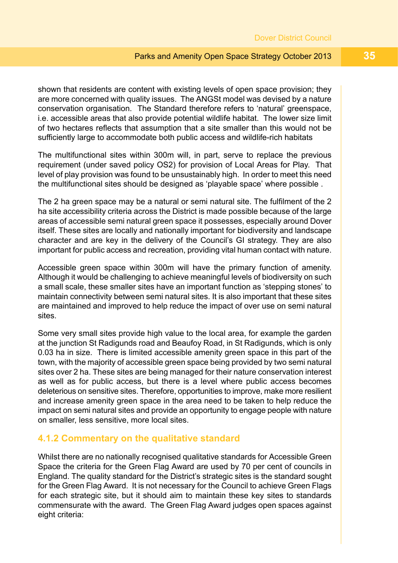shown that residents are content with existing levels of open space provision; they are more concerned with quality issues. The ANGSt model was devised by a nature conservation organisation. The Standard therefore refers to 'natural' greenspace, i.e. accessible areas that also provide potential wildlife habitat. The lower size limit of two hectares reflects that assumption that a site smaller than this would not be sufficiently large to accommodate both public access and wildlife-rich habitats

The multifunctional sites within 300m will, in part, serve to replace the previous requirement (under saved policy OS2) for provision of Local Areas for Play. That level of play provision was found to be unsustainably high. In order to meet this need the multifunctional sites should be designed as 'playable space' where possible .

The 2 ha green space may be a natural or semi natural site. The fulfilment of the 2 ha site accessibility criteria across the District is made possible because of the large areas of accessible semi natural green space it possesses, especially around Dover itself. These sites are locally and nationally important for biodiversity and landscape character and are key in the delivery of the Council's GI strategy. They are also important for public access and recreation, providing vital human contact with nature.

Accessible green space within 300m will have the primary function of amenity. Although it would be challenging to achieve meaningful levels of biodiversity on such a small scale, these smaller sites have an important function as 'stepping stones' to maintain connectivity between semi natural sites. It is also important that these sites are maintained and improved to help reduce the impact of over use on semi natural sites.

Some very small sites provide high value to the local area, for example the garden at the junction St Radigunds road and Beaufoy Road, in St Radigunds, which is only 0.03 ha in size. There is limited accessible amenity green space in this part of the town, with the majority of accessible green space being provided by two semi natural sites over 2 ha. These sites are being managed for their nature conservation interest as well as for public access, but there is a level where public access becomes deleterious on sensitive sites. Therefore, opportunities to improve, make more resilient and increase amenity green space in the area need to be taken to help reduce the impact on semi natural sites and provide an opportunity to engage people with nature on smaller, less sensitive, more local sites.

#### <span id="page-36-0"></span>**4.1.2 Commentary on the qualitative standard**

Whilst there are no nationally recognised qualitative standards for Accessible Green Space the criteria for the Green Flag Award are used by 70 per cent of councils in England. The quality standard for the District's strategic sites is the standard sought for the Green Flag Award. It is not necessary for the Council to achieve Green Flags for each strategic site, but it should aim to maintain these key sites to standards commensurate with the award. The Green Flag Award judges open spaces against eight criteria: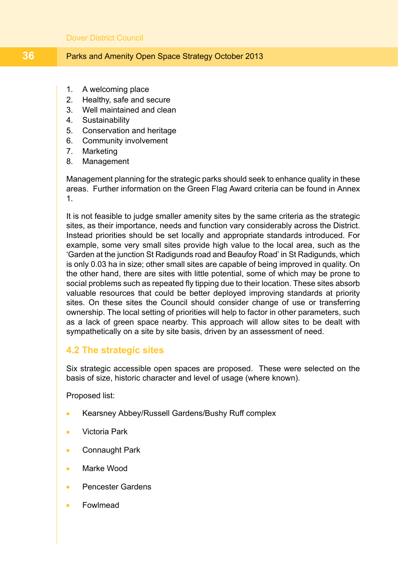#### **36** Parks and Amenity Open Space Strategy October 2013

- 1. A welcoming place
- 2. Healthy, safe and secure
- 3. Well maintained and clean
- 4. Sustainability
- 5. Conservation and heritage
- 6. Community involvement
- 7. Marketing
- 8. Management

Management planning for the strategic parks should seek to enhance quality in these areas. Further information on the Green Flag Award criteria can be found in Annex 1.

It is not feasible to judge smaller amenity sites by the same criteria as the strategic sites, as their importance, needs and function vary considerably across the District. Instead priorities should be set locally and appropriate standards introduced. For example, some very small sites provide high value to the local area, such as the 'Garden at the junction St Radigunds road and Beaufoy Road' in St Radigunds, which is only 0.03 ha in size; other small sites are capable of being improved in quality. On the other hand, there are sites with little potential, some of which may be prone to social problems such as repeated fly tipping due to their location. These sites absorb valuable resources that could be better deployed improving standards at priority sites. On these sites the Council should consider change of use or transferring ownership. The local setting of priorities will help to factor in other parameters, such as a lack of green space nearby. This approach will allow sites to be dealt with sympathetically on a site by site basis, driven by an assessment of need.

## <span id="page-37-0"></span>**4.2 The strategic sites**

Six strategic accessible open spaces are proposed. These were selected on the basis of size, historic character and level of usage (where known).

Proposed list:

- Kearsney Abbey/Russell Gardens/Bushy Ruff complex  $\bullet$
- Victoria Park  $\bullet$
- Connaught Park  $\bullet$
- Marke Wood  $\bullet$
- Pencester Gardens  $\bullet$
- Fowlmead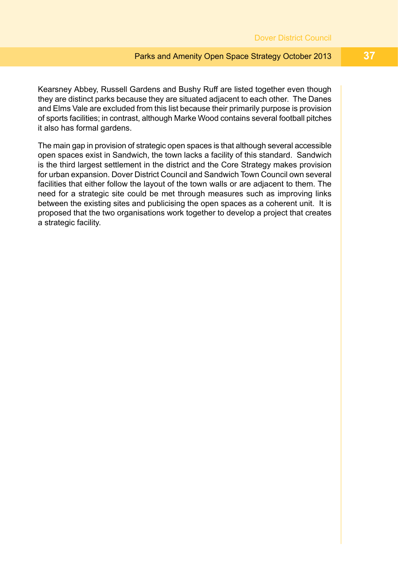Kearsney Abbey, Russell Gardens and Bushy Ruff are listed together even though they are distinct parks because they are situated adjacent to each other. The Danes and Elms Vale are excluded from this list because their primarily purpose is provision of sports facilities; in contrast, although Marke Wood contains several football pitches it also has formal gardens.

The main gap in provision of strategic open spaces is that although several accessible open spaces exist in Sandwich, the town lacks a facility of this standard. Sandwich is the third largest settlement in the district and the Core Strategy makes provision for urban expansion. Dover District Council and Sandwich Town Council own several facilities that either follow the layout of the town walls or are adjacent to them. The need for a strategic site could be met through measures such as improving links between the existing sites and publicising the open spaces as a coherent unit. It is proposed that the two organisations work together to develop a project that creates a strategic facility.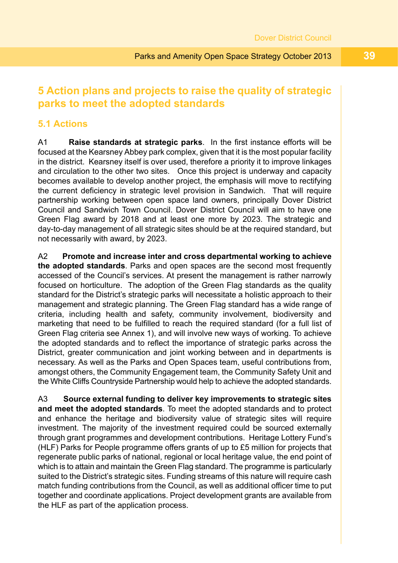# <span id="page-40-0"></span>**5 Action plans and projects to raise the quality of strategic parks to meet the adopted standards**

## <span id="page-40-1"></span>**5.1 Actions**

A1 **Raise standards at strategic parks**. In the first instance efforts will be focused at the Kearsney Abbey park complex, given that it is the most popular facility in the district. Kearsney itself is over used, therefore a priority it to improve linkages and circulation to the other two sites. Once this project is underway and capacity becomes available to develop another project, the emphasis will move to rectifying the current deficiency in strategic level provision in Sandwich. That will require partnership working between open space land owners, principally Dover District Council and Sandwich Town Council. Dover District Council will aim to have one Green Flag award by 2018 and at least one more by 2023. The strategic and day-to-day management of all strategic sites should be at the required standard, but not necessarily with award, by 2023.

A2 **Promote and increase inter and cross departmental working to achieve the adopted standards**. Parks and open spaces are the second most frequently accessed of the Council's services. At present the management is rather narrowly focused on horticulture. The adoption of the Green Flag standards as the quality standard for the District's strategic parks will necessitate a holistic approach to their management and strategic planning. The Green Flag standard has a wide range of criteria, including health and safety, community involvement, biodiversity and marketing that need to be fulfilled to reach the required standard (for a full list of Green Flag criteria see Annex 1), and will involve new ways of working. To achieve the adopted standards and to reflect the importance of strategic parks across the District, greater communication and joint working between and in departments is necessary. As well as the Parks and Open Spaces team, useful contributions from, amongst others, the Community Engagement team, the Community Safety Unit and the White Cliffs Countryside Partnership would help to achieve the adopted standards.

A3 **Source external funding to deliver key improvements to strategic sites and meet the adopted standards**. To meet the adopted standards and to protect and enhance the heritage and biodiversity value of strategic sites will require investment. The majority of the investment required could be sourced externally through grant programmes and development contributions. Heritage Lottery Fund's (HLF) Parks for People programme offers grants of up to £5 million for projects that regenerate public parks of national, regional or local heritage value, the end point of which is to attain and maintain the Green Flag standard. The programme is particularly suited to the District's strategic sites. Funding streams of this nature will require cash match funding contributions from the Council, as well as additional officer time to put together and coordinate applications. Project development grants are available from the HLF as part of the application process.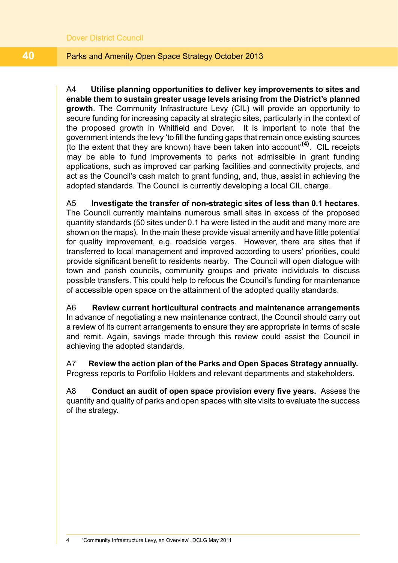A4 **Utilise planning opportunities to deliver key improvements to sites and enable them to sustain greater usage levels arising from the District's planned growth**. The Community Infrastructure Levy (CIL) will provide an opportunity to secure funding for increasing capacity at strategic sites, particularly in the context of the proposed growth in Whitfield and Dover. It is important to note that the government intends the levy 'to fill the funding gaps that remain once existing sources (to the extent that they are known) have been taken into account'**(4)** . CIL receipts may be able to fund improvements to parks not admissible in grant funding applications, such as improved car parking facilities and connectivity projects, and act as the Council's cash match to grant funding, and, thus, assist in achieving the adopted standards. The Council is currently developing a local CIL charge.

A5 **Investigate the transfer of non-strategic sites of less than 0.1 hectares**. The Council currently maintains numerous small sites in excess of the proposed quantity standards (50 sites under 0.1 ha were listed in the audit and many more are shown on the maps). In the main these provide visual amenity and have little potential for quality improvement, e.g. roadside verges. However, there are sites that if transferred to local management and improved according to users' priorities, could provide significant benefit to residents nearby. The Council will open dialogue with town and parish councils, community groups and private individuals to discuss possible transfers. This could help to refocus the Council's funding for maintenance of accessible open space on the attainment of the adopted quality standards.

A6 **Review current horticultural contracts and maintenance arrangements** In advance of negotiating a new maintenance contract, the Council should carry out a review of its current arrangements to ensure they are appropriate in terms of scale and remit. Again, savings made through this review could assist the Council in achieving the adopted standards.

A7 **Review the action plan of the Parks and Open Spaces Strategy annually.** Progress reports to Portfolio Holders and relevant departments and stakeholders.

A8 **Conduct an audit of open space provision every five years.** Assess the quantity and quality of parks and open spaces with site visits to evaluate the success of the strategy.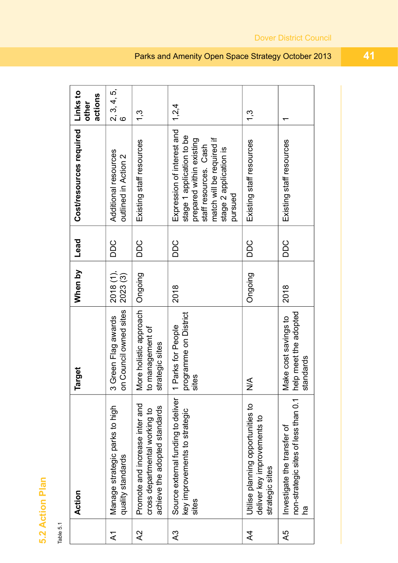<span id="page-42-0"></span>

| ۴<br>г                 |  |
|------------------------|--|
| −                      |  |
| <b>Service Service</b> |  |
|                        |  |
| г                      |  |
|                        |  |
| п                      |  |
|                        |  |

Table 5.1

|                | Action                                                                                                | rget<br>힉                                                              | When by               | Lead | Cost/resources required                                                                                                                                                        | Links to<br>actions<br>other |
|----------------|-------------------------------------------------------------------------------------------------------|------------------------------------------------------------------------|-----------------------|------|--------------------------------------------------------------------------------------------------------------------------------------------------------------------------------|------------------------------|
| হ              | Manage strategic parks to high<br>quality standards                                                   | on Council owned sites<br>3 Green Flag awards                          | 2018 (1),<br>2023 (3) | DDC  | Additional resources<br>outlined in Action 2                                                                                                                                   | 2, 3, 4, 5,<br>6             |
| $\lambda$ 2    | Promote and increase inter and<br>achieve the adopted standards<br>cross departmental working to      | More holistic approach<br>to management of<br>strategic sites          | Ongoing               | DDC  | Existing staff resources                                                                                                                                                       | 1.3                          |
| Κ3             | Source external funding to deliver<br>key improvements to strategic<br>sites                          | programme on District<br>Parks for People<br>sites<br>$\frac{1}{\tau}$ | 2018                  | DDC  | Expression of interest and<br>stage 1 application to be<br>match will be required if<br>prepared within existing<br>staff resources. Cash<br>stage 2 application is<br>pursued | 1,2,4                        |
| $\overline{4}$ | Utilise planning opportunities to<br>deliver key improvements to<br>strategic sites                   | $\frac{1}{2}$                                                          | Ongoing               | DDC  | Existing staff resources                                                                                                                                                       | $\frac{1}{3}$                |
| A5             | non-strategic sites of less than 0.1   help meet the adopted<br>Investigate the transfer of<br>m<br>S | Make cost savings to<br>standards                                      | 2018                  | DDC  | Existing staff resources                                                                                                                                                       |                              |

# Parks and Amenity Open Space Strategy October 2013 **41**

Dover District Council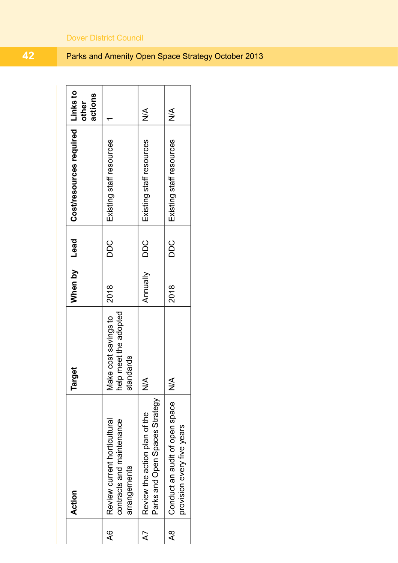|           | Action                                                                    | Target                                                     | When by   Lead |           | Cost/resources required Links to | actions<br>other |
|-----------|---------------------------------------------------------------------------|------------------------------------------------------------|----------------|-----------|----------------------------------|------------------|
| LO        | Review current horticultural<br>contracts and maintenance<br>arrangements | help meet the adopted<br>Make cost savings to<br>standards | <b>2018</b>    | DOC<br>DO | Existing staff resources         |                  |
| <b>ZY</b> | Parks and Open Spaces Strategy<br>Review the action plan of the           | $\frac{8}{5}$                                              | Annually       | DDC       | Existing staff resources         | $\frac{1}{2}$    |
| ⊗<br>∢    | Conduct an audit of open space<br>provision every five years              | $\frac{1}{2}$                                              | 2018           | DOC<br>D  | Existing staff resources         | $\frac{1}{2}$    |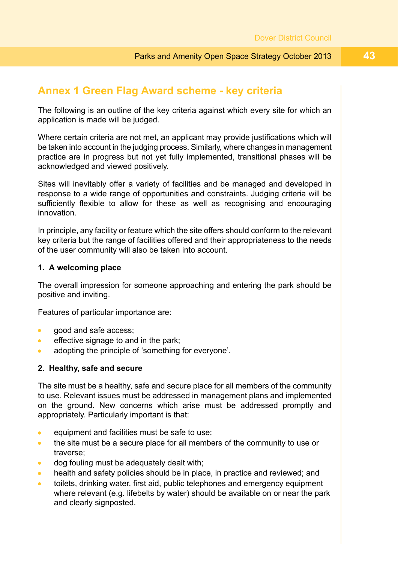# <span id="page-44-0"></span>**Annex 1 Green Flag Award scheme - key criteria**

The following is an outline of the key criteria against which every site for which an application is made will be judged.

Where certain criteria are not met, an applicant may provide justifications which will be taken into account in the judging process. Similarly, where changes in management practice are in progress but not yet fully implemented, transitional phases will be acknowledged and viewed positively.

Sites will inevitably offer a variety of facilities and be managed and developed in response to a wide range of opportunities and constraints. Judging criteria will be sufficiently flexible to allow for these as well as recognising and encouraging innovation.

In principle, any facility or feature which the site offers should conform to the relevant key criteria but the range of facilities offered and their appropriateness to the needs of the user community will also be taken into account.

#### **1. A welcoming place**

The overall impression for someone approaching and entering the park should be positive and inviting.

Features of particular importance are:

- good and safe access;  $\bullet$
- effective signage to and in the park;  $\bullet$
- adopting the principle of 'something for everyone'.

#### **2. Healthy, safe and secure**

The site must be a healthy, safe and secure place for all members of the community to use. Relevant issues must be addressed in management plans and implemented on the ground. New concerns which arise must be addressed promptly and appropriately. Particularly important is that:

- equipment and facilities must be safe to use;  $\bullet$
- the site must be a secure place for all members of the community to use or  $\bullet$ traverse;
- dog fouling must be adequately dealt with;  $\bullet$
- health and safety policies should be in place, in practice and reviewed; and  $\bullet$
- toilets, drinking water, first aid, public telephones and emergency equipment  $\bullet$ where relevant (e.g. lifebelts by water) should be available on or near the park and clearly signposted.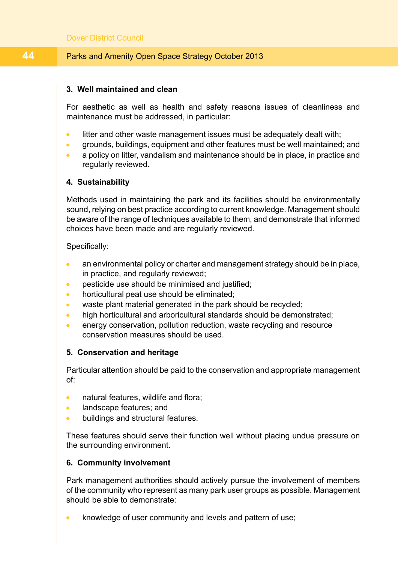#### **3. Well maintained and clean**

For aesthetic as well as health and safety reasons issues of cleanliness and maintenance must be addressed, in particular:

- $\bullet$ litter and other waste management issues must be adequately dealt with;
- grounds, buildings, equipment and other features must be well maintained; and  $\bullet$
- a policy on litter, vandalism and maintenance should be in place, in practice and  $\bullet$ regularly reviewed.

#### **4. Sustainability**

Methods used in maintaining the park and its facilities should be environmentally sound, relying on best practice according to current knowledge. Management should be aware of the range of techniques available to them, and demonstrate that informed choices have been made and are regularly reviewed.

#### Specifically:

- an environmental policy or charter and management strategy should be in place,  $\bullet$ in practice, and regularly reviewed;
- pesticide use should be minimised and justified;  $\bullet$
- horticultural peat use should be eliminated;  $\bullet$
- waste plant material generated in the park should be recycled;  $\bullet$
- high horticultural and arboricultural standards should be demonstrated;  $\bullet$
- energy conservation, pollution reduction, waste recycling and resource  $\bullet$ conservation measures should be used.

#### **5. Conservation and heritage**

Particular attention should be paid to the conservation and appropriate management of:

- natural features, wildlife and flora;  $\bullet$
- landscape features; and  $\bullet$
- buildings and structural features.  $\bullet$

These features should serve their function well without placing undue pressure on the surrounding environment.

#### **6. Community involvement**

Park management authorities should actively pursue the involvement of members of the community who represent as many park user groups as possible. Management should be able to demonstrate:

knowledge of user community and levels and pattern of use;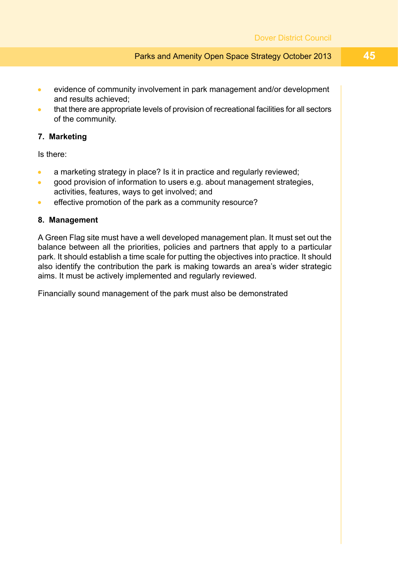- evidence of community involvement in park management and/or development  $\bullet$ and results achieved;
- that there are appropriate levels of provision of recreational facilities for all sectors  $\bullet$ of the community.

#### **7. Marketing**

Is there:

- a marketing strategy in place? Is it in practice and regularly reviewed;  $\bullet$
- good provision of information to users e.g. about management strategies,  $\bullet$ activities, features, ways to get involved; and
- effective promotion of the park as a community resource?  $\bullet$

#### **8. Management**

A Green Flag site must have a well developed management plan. It must set out the balance between all the priorities, policies and partners that apply to a particular park. It should establish a time scale for putting the objectives into practice. It should also identify the contribution the park is making towards an area's wider strategic aims. It must be actively implemented and regularly reviewed.

Financially sound management of the park must also be demonstrated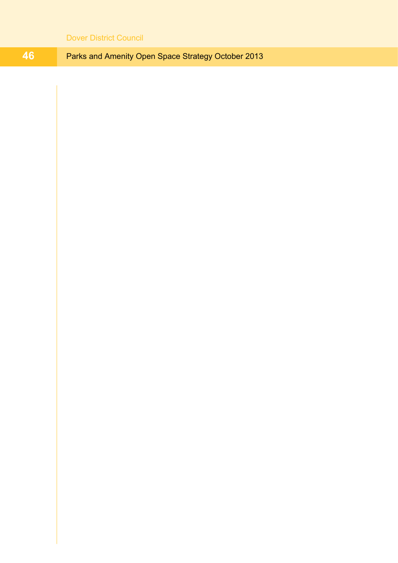| -46 | Parks and Amenity Open Space Strategy October 2013 |
|-----|----------------------------------------------------|
|     |                                                    |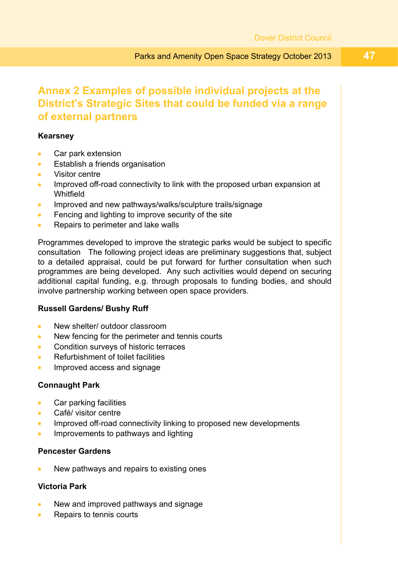# <span id="page-48-0"></span>**Annex 2 Examples of possible individual projects at the District's Strategic Sites that could be funded via a range of external partners**

#### **Kearsney**

- Car park extension  $\bullet$
- Establish a friends organisation  $\bullet$
- Visitor centre  $\bullet$
- Improved off-road connectivity to link with the proposed urban expansion at  $\bullet$ **Whitfield**
- Improved and new pathways/walks/sculpture trails/signage  $\bullet$
- Fencing and lighting to improve security of the site  $\bullet$
- Repairs to perimeter and lake walls  $\bullet$

Programmes developed to improve the strategic parks would be subject to specific consultation The following project ideas are preliminary suggestions that, subject to a detailed appraisal, could be put forward for further consultation when such programmes are being developed. Any such activities would depend on securing additional capital funding, e.g. through proposals to funding bodies, and should involve partnership working between open space providers.

#### **Russell Gardens/ Bushy Ruff**

- New shelter/ outdoor classroom  $\bullet$
- New fencing for the perimeter and tennis courts  $\blacksquare$
- Condition surveys of historic terraces  $\bullet$
- Refurbishment of toilet facilities  $\blacksquare$
- Improved access and signage  $\bullet$

#### **Connaught Park**

- Car parking facilities  $\bullet$
- Café/ visitor centre  $\bullet$
- Improved off-road connectivity linking to proposed new developments  $\bullet$
- Improvements to pathways and lighting  $\bullet$

#### **Pencester Gardens**

New pathways and repairs to existing ones

#### **Victoria Park**

- New and improved pathways and signage
- Repairs to tennis courts